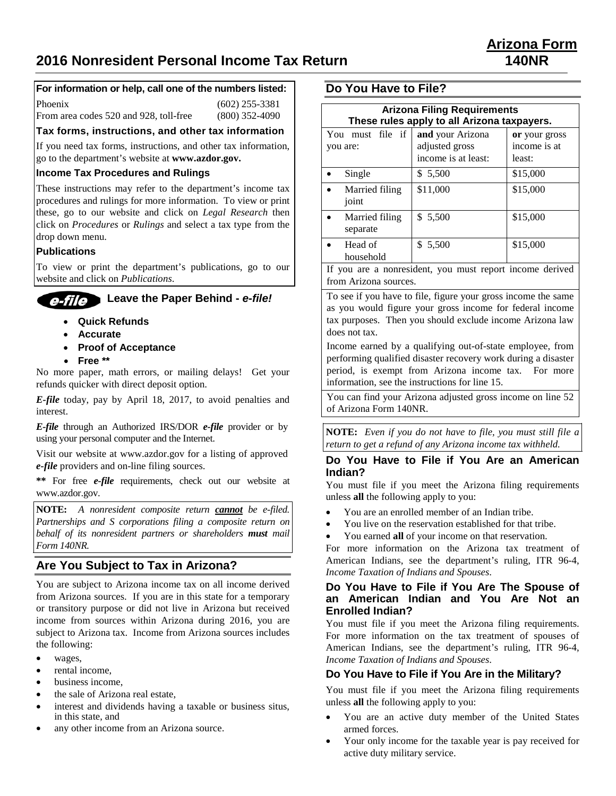# **2016 Nonresident Personal Income Tax Return 140NR**

## **For information or help, call one of the numbers listed:**

Phoenix (602) 255-3381

From area codes 520 and 928, toll-free (800) 352-4090

**Tax forms, instructions, and other tax information**

If you need tax forms, instructions, and other tax information, go to the department's website at **www.azdor.gov.**

### **Income Tax Procedures and Rulings**

These instructions may refer to the department's income tax procedures and rulings for more information. To view or print these, go to our website and click on *Legal Research* then click on *Procedures* or *Rulings* and select a tax type from the drop down menu.

### **Publications**

To view or print the department's publications, go to our website and click on *Publications*.

#### **Leave the Paper Behind -** *e-file!* e-file

- • **Quick Refunds**
- • **Accurate**
- • **Proof of Acceptance**
- • **Free \*\***

No more paper, math errors, or mailing delays! Get your refunds quicker with direct deposit option.

*E-file* today, pay by April 18, 2017, to avoid penalties and interest.

*E-file* through an Authorized IRS/DOR *e-file* provider or by using your personal computer and the Internet.

Visit our website at www.azdor.gov for a listing of approved *e-file* providers and on-line filing sources.

**\*\*** For free *e-file* requirements, check out our website at www.azdor.gov.

**NOTE:** *A nonresident composite return cannot be e-filed. Partnerships and S corporations filing a composite return on behalf of its nonresident partners or shareholders must mail Form 140NR.*

## **Are You Subject to Tax in Arizona?**

You are subject to Arizona income tax on all income derived from Arizona sources. If you are in this state for a temporary or transitory purpose or did not live in Arizona but received income from sources within Arizona during 2016, you are subject to Arizona tax. Income from Arizona sources includes the following:

- wages,
- rental income,
- business income.
- the sale of Arizona real estate,
- interest and dividends having a taxable or business situs, in this state, and
- any other income from an Arizona source.

## **Do You Have to File?**

| <b>Arizona Filing Requirements</b><br>These rules apply to all Arizona taxpayers. |                                                           |                                         |  |  |
|-----------------------------------------------------------------------------------|-----------------------------------------------------------|-----------------------------------------|--|--|
| must file if<br>You<br>you are:                                                   | and your Arizona<br>adjusted gross<br>income is at least: | or your gross<br>income is at<br>least: |  |  |
| Single                                                                            | 5,500<br>S                                                | \$15,000                                |  |  |
| Married filing<br>joint                                                           | \$11,000                                                  | \$15,000                                |  |  |
| Married filing<br>separate                                                        | \$ 5,500                                                  | \$15,000                                |  |  |
| Head of<br>household                                                              | \$5,500                                                   | \$15,000                                |  |  |

If you are a nonresident, you must report income derived from Arizona sources.

To see if you have to file, figure your gross income the same as you would figure your gross income for federal income tax purposes. Then you should exclude income Arizona law does not tax.

Income earned by a qualifying out-of-state employee, from performing qualified disaster recovery work during a disaster period, is exempt from Arizona income tax. For more information, see the instructions for line 15.

You can find your Arizona adjusted gross income on line 52 of Arizona Form 140NR.

**NOTE:** *Even if you do not have to file, you must still file a return to get a refund of any Arizona income tax withheld.*

### **Do You Have to File if You Are an American Indian?**

You must file if you meet the Arizona filing requirements unless **all** the following apply to you:

- You are an enrolled member of an Indian tribe.
- You live on the reservation established for that tribe.
- You earned **all** of your income on that reservation.

For more information on the Arizona tax treatment of American Indians, see the department's ruling, ITR 96-4, *Income Taxation of Indians and Spouses*.

#### **Do You Have to File if You Are The Spouse of an American Indian and You Are Not an Enrolled Indian?**

You must file if you meet the Arizona filing requirements. For more information on the tax treatment of spouses of American Indians, see the department's ruling, ITR 96-4, *Income Taxation of Indians and Spouses*.

### **Do You Have to File if You Are in the Military?**

You must file if you meet the Arizona filing requirements unless **all** the following apply to you:

- You are an active duty member of the United States armed forces.
- Your only income for the taxable year is pay received for active duty military service.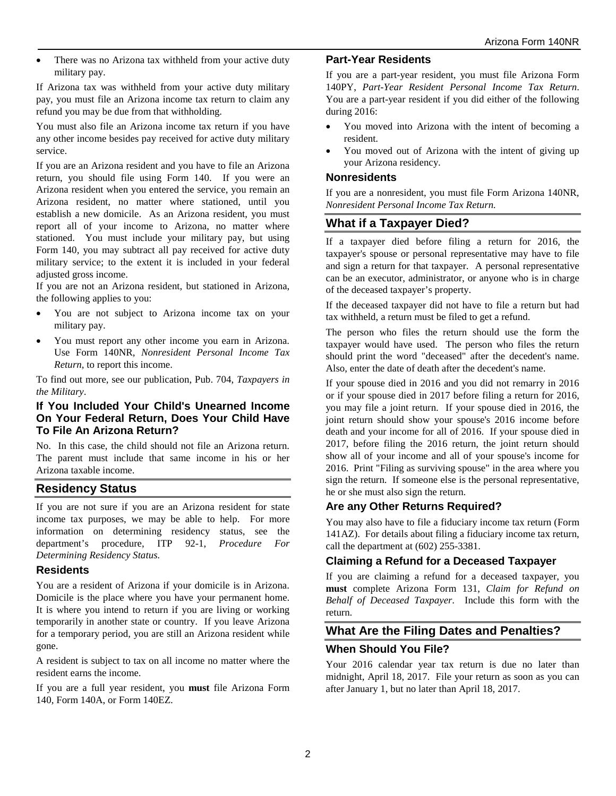• There was no Arizona tax withheld from your active duty military pay.

If Arizona tax was withheld from your active duty military pay, you must file an Arizona income tax return to claim any refund you may be due from that withholding.

You must also file an Arizona income tax return if you have any other income besides pay received for active duty military service.

If you are an Arizona resident and you have to file an Arizona return, you should file using Form 140. If you were an Arizona resident when you entered the service, you remain an Arizona resident, no matter where stationed, until you establish a new domicile. As an Arizona resident, you must report all of your income to Arizona, no matter where stationed. You must include your military pay, but using Form 140, you may subtract all pay received for active duty military service; to the extent it is included in your federal adjusted gross income.

If you are not an Arizona resident, but stationed in Arizona, the following applies to you:

- You are not subject to Arizona income tax on your military pay.
- You must report any other income you earn in Arizona. Use Form 140NR, *Nonresident Personal Income Tax Return*, to report this income.

To find out more, see our publication, Pub. 704, *Taxpayers in the Military*.

### **If You Included Your Child's Unearned Income On Your Federal Return, Does Your Child Have To File An Arizona Return?**

No. In this case, the child should not file an Arizona return. The parent must include that same income in his or her Arizona taxable income.

## **Residency Status**

If you are not sure if you are an Arizona resident for state income tax purposes, we may be able to help. For more information on determining residency status, see the department's procedure, ITP 92-1, *Procedure For Determining Residency Status*.

### **Residents**

You are a resident of Arizona if your domicile is in Arizona. Domicile is the place where you have your permanent home. It is where you intend to return if you are living or working temporarily in another state or country. If you leave Arizona for a temporary period, you are still an Arizona resident while gone.

A resident is subject to tax on all income no matter where the resident earns the income.

If you are a full year resident, you **must** file Arizona Form 140, Form 140A, or Form 140EZ.

### **Part-Year Residents**

If you are a part-year resident, you must file Arizona Form 140PY, *Part-Year Resident Personal Income Tax Return*. You are a part-year resident if you did either of the following during 2016:

- You moved into Arizona with the intent of becoming a resident.
- You moved out of Arizona with the intent of giving up your Arizona residency.

### **Nonresidents**

If you are a nonresident, you must file Form Arizona 140NR, *Nonresident Personal Income Tax Return.*

## **What if a Taxpayer Died?**

If a taxpayer died before filing a return for 2016, the taxpayer's spouse or personal representative may have to file and sign a return for that taxpayer. A personal representative can be an executor, administrator, or anyone who is in charge of the deceased taxpayer's property.

If the deceased taxpayer did not have to file a return but had tax withheld, a return must be filed to get a refund.

The person who files the return should use the form the taxpayer would have used. The person who files the return should print the word "deceased" after the decedent's name. Also, enter the date of death after the decedent's name.

If your spouse died in 2016 and you did not remarry in 2016 or if your spouse died in 2017 before filing a return for 2016, you may file a joint return. If your spouse died in 2016, the joint return should show your spouse's 2016 income before death and your income for all of 2016. If your spouse died in 2017, before filing the 2016 return, the joint return should show all of your income and all of your spouse's income for 2016. Print "Filing as surviving spouse" in the area where you sign the return. If someone else is the personal representative, he or she must also sign the return.

### **Are any Other Returns Required?**

You may also have to file a fiduciary income tax return (Form 141AZ). For details about filing a fiduciary income tax return, call the department at (602) 255-3381.

### **Claiming a Refund for a Deceased Taxpayer**

If you are claiming a refund for a deceased taxpayer, you **must** complete Arizona Form 131, *Claim for Refund on Behalf of Deceased Taxpayer*. Include this form with the return.

## **What Are the Filing Dates and Penalties? When Should You File?**

Your 2016 calendar year tax return is due no later than midnight, April 18, 2017. File your return as soon as you can after January 1, but no later than April 18, 2017.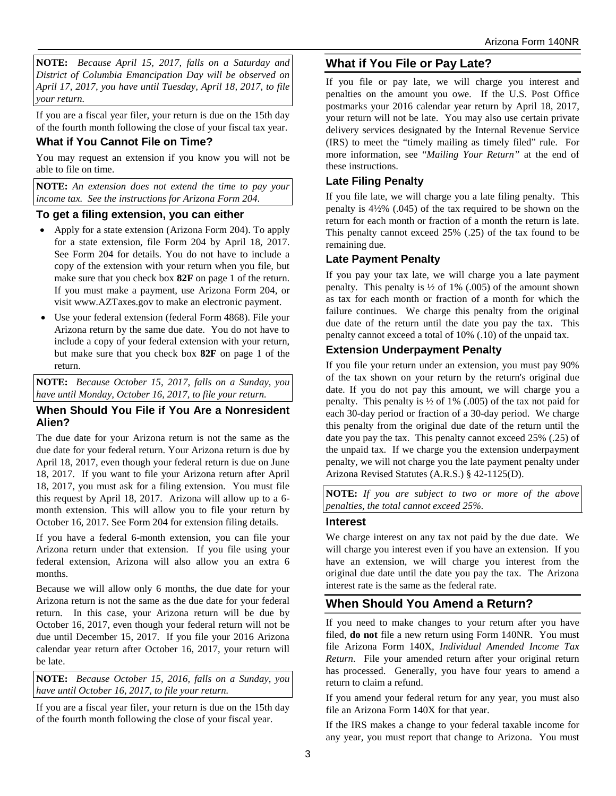**NOTE:** *Because April 15, 2017, falls on a Saturday and District of Columbia Emancipation Day will be observed on April 17, 2017, you have until Tuesday, April 18, 2017, to file your return.*

If you are a fiscal year filer, your return is due on the 15th day of the fourth month following the close of your fiscal tax year.

### **What if You Cannot File on Time?**

You may request an extension if you know you will not be able to file on time.

**NOTE:** *An extension does not extend the time to pay your income tax. See the instructions for Arizona Form 204.*

## **To get a filing extension, you can either**

- Apply for a state extension (Arizona Form 204). To apply for a state extension, file Form 204 by April 18, 2017. See Form 204 for details. You do not have to include a copy of the extension with your return when you file, but make sure that you check box **82F** on page 1 of the return. If you must make a payment, use Arizona Form 204, or visit www.AZTaxes.gov to make an electronic payment.
- Use your federal extension (federal Form 4868). File your Arizona return by the same due date. You do not have to include a copy of your federal extension with your return, but make sure that you check box **82F** on page 1 of the return.

**NOTE:** *Because October 15, 2017, falls on a Sunday, you have until Monday, October 16, 2017, to file your return.*

### **When Should You File if You Are a Nonresident Alien?**

The due date for your Arizona return is not the same as the due date for your federal return. Your Arizona return is due by April 18, 2017, even though your federal return is due on June 18, 2017. If you want to file your Arizona return after April 18, 2017, you must ask for a filing extension. You must file this request by April 18, 2017. Arizona will allow up to a 6 month extension. This will allow you to file your return by October 16, 2017. See Form 204 for extension filing details.

If you have a federal 6-month extension, you can file your Arizona return under that extension. If you file using your federal extension, Arizona will also allow you an extra 6 months.

Because we will allow only 6 months, the due date for your Arizona return is not the same as the due date for your federal return. In this case, your Arizona return will be due by October 16, 2017, even though your federal return will not be due until December 15, 2017. If you file your 2016 Arizona calendar year return after October 16, 2017, your return will be late.

**NOTE:** *Because October 15, 2016, falls on a Sunday, you have until October 16, 2017, to file your return.*

If you are a fiscal year filer, your return is due on the 15th day of the fourth month following the close of your fiscal year.

## **What if You File or Pay Late?**

If you file or pay late, we will charge you interest and penalties on the amount you owe. If the U.S. Post Office postmarks your 2016 calendar year return by April 18, 2017, your return will not be late. You may also use certain private delivery services designated by the Internal Revenue Service (IRS) to meet the "timely mailing as timely filed" rule. For more information, see "*Mailing Your Return"* at the end of these instructions.

## **Late Filing Penalty**

If you file late, we will charge you a late filing penalty. This penalty is 4½% (.045) of the tax required to be shown on the return for each month or fraction of a month the return is late. This penalty cannot exceed 25% (.25) of the tax found to be remaining due.

## **Late Payment Penalty**

If you pay your tax late, we will charge you a late payment penalty. This penalty is ½ of 1% (.005) of the amount shown as tax for each month or fraction of a month for which the failure continues. We charge this penalty from the original due date of the return until the date you pay the tax. This penalty cannot exceed a total of 10% (.10) of the unpaid tax.

## **Extension Underpayment Penalty**

If you file your return under an extension, you must pay 90% of the tax shown on your return by the return's original due date. If you do not pay this amount, we will charge you a penalty. This penalty is  $\frac{1}{2}$  of 1% (.005) of the tax not paid for each 30-day period or fraction of a 30-day period. We charge this penalty from the original due date of the return until the date you pay the tax. This penalty cannot exceed 25% (.25) of the unpaid tax. If we charge you the extension underpayment penalty, we will not charge you the late payment penalty under Arizona Revised Statutes (A.R.S.) § 42-1125(D).

**NOTE:** *If you are subject to two or more of the above penalties, the total cannot exceed 25%.*

### **Interest**

We charge interest on any tax not paid by the due date. We will charge you interest even if you have an extension. If you have an extension, we will charge you interest from the original due date until the date you pay the tax. The Arizona interest rate is the same as the federal rate.

## **When Should You Amend a Return?**

If you need to make changes to your return after you have filed, **do not** file a new return using Form 140NR. You must file Arizona Form 140X, *Individual Amended Income Tax Return*. File your amended return after your original return has processed. Generally, you have four years to amend a return to claim a refund.

If you amend your federal return for any year, you must also file an Arizona Form 140X for that year.

If the IRS makes a change to your federal taxable income for any year, you must report that change to Arizona. You must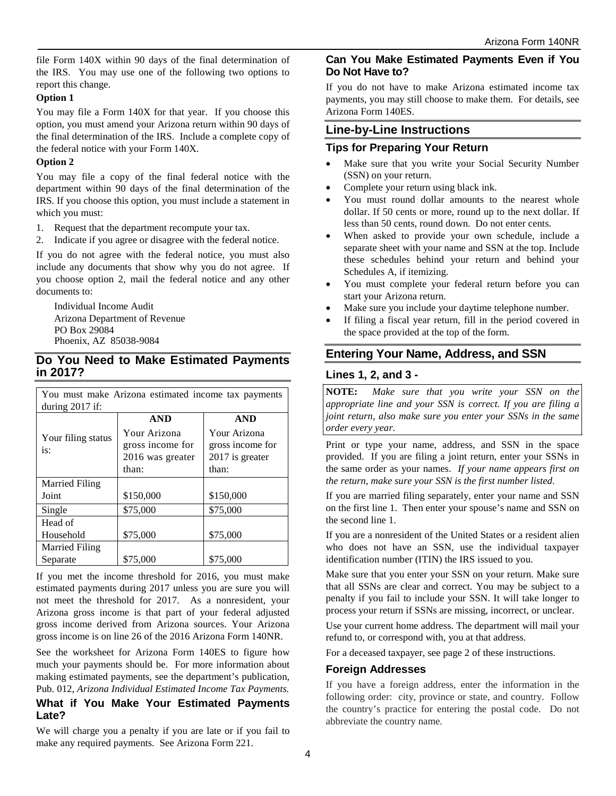file Form 140X within 90 days of the final determination of the IRS. You may use one of the following two options to report this change.

### **Option 1**

You may file a Form 140X for that year. If you choose this option, you must amend your Arizona return within 90 days of the final determination of the IRS. Include a complete copy of the federal notice with your Form 140X.

### **Option 2**

You may file a copy of the final federal notice with the department within 90 days of the final determination of the IRS. If you choose this option, you must include a statement in which you must:

- 1. Request that the department recompute your tax.
- 2. Indicate if you agree or disagree with the federal notice.

If you do not agree with the federal notice, you must also include any documents that show why you do not agree. If you choose option 2, mail the federal notice and any other documents to:

Individual Income Audit Arizona Department of Revenue PO Box 29084 Phoenix, AZ 85038-9084

## **Do You Need to Make Estimated Payments in 2017?**

| You must make Arizona estimated income tax payments |                  |                  |  |  |  |
|-----------------------------------------------------|------------------|------------------|--|--|--|
| during 2017 if:                                     |                  |                  |  |  |  |
|                                                     | <b>AND</b>       | <b>AND</b>       |  |  |  |
| Your filing status                                  | Your Arizona     | Your Arizona     |  |  |  |
| is:                                                 | gross income for | gross income for |  |  |  |
|                                                     | 2016 was greater | 2017 is greater  |  |  |  |
|                                                     | than:            | than:            |  |  |  |
| <b>Married Filing</b>                               |                  |                  |  |  |  |
| Joint                                               | \$150,000        | \$150,000        |  |  |  |
| Single                                              | \$75,000         | \$75,000         |  |  |  |
| Head of                                             |                  |                  |  |  |  |
| Household                                           | \$75,000         | \$75,000         |  |  |  |
| <b>Married Filing</b>                               |                  |                  |  |  |  |
| \$75,000<br>\$75,000<br>Separate                    |                  |                  |  |  |  |

If you met the income threshold for 2016, you must make estimated payments during 2017 unless you are sure you will not meet the threshold for 2017. As a nonresident, your Arizona gross income is that part of your federal adjusted gross income derived from Arizona sources. Your Arizona gross income is on line 26 of the 2016 Arizona Form 140NR.

See the worksheet for Arizona Form 140ES to figure how much your payments should be. For more information about making estimated payments, see the department's publication, Pub. 012, *Arizona Individual Estimated Income Tax Payments.*

### **What if You Make Your Estimated Payments Late?**

We will charge you a penalty if you are late or if you fail to make any required payments. See Arizona Form 221.

## **Can You Make Estimated Payments Even if You Do Not Have to?**

If you do not have to make Arizona estimated income tax payments, you may still choose to make them. For details, see Arizona Form 140ES.

## **Line-by-Line Instructions**

### **Tips for Preparing Your Return**

- Make sure that you write your Social Security Number (SSN) on your return.
- Complete your return using black ink.
- You must round dollar amounts to the nearest whole dollar. If 50 cents or more, round up to the next dollar. If less than 50 cents, round down. Do not enter cents.
- When asked to provide your own schedule, include a separate sheet with your name and SSN at the top. Include these schedules behind your return and behind your Schedules A, if itemizing.
- You must complete your federal return before you can start your Arizona return.
- Make sure you include your daytime telephone number.
- If filing a fiscal year return, fill in the period covered in the space provided at the top of the form.

## **Entering Your Name, Address, and SSN**

## **Lines 1, 2, and 3 -**

**NOTE:** *Make sure that you write your SSN on the appropriate line and your SSN is correct. If you are filing a joint return, also make sure you enter your SSNs in the same order every year.*

Print or type your name, address, and SSN in the space provided. If you are filing a joint return, enter your SSNs in the same order as your names. *If your name appears first on the return, make sure your SSN is the first number listed*.

If you are married filing separately, enter your name and SSN on the first line 1. Then enter your spouse's name and SSN on the second line 1.

If you are a nonresident of the United States or a resident alien who does not have an SSN, use the individual taxpayer identification number (ITIN) the IRS issued to you.

Make sure that you enter your SSN on your return. Make sure that all SSNs are clear and correct. You may be subject to a penalty if you fail to include your SSN. It will take longer to process your return if SSNs are missing, incorrect, or unclear.

Use your current home address. The department will mail your refund to, or correspond with, you at that address.

For a deceased taxpayer, see page 2 of these instructions.

## **Foreign Addresses**

If you have a foreign address, enter the information in the following order: city, province or state, and country. Follow the country's practice for entering the postal code. Do not abbreviate the country name.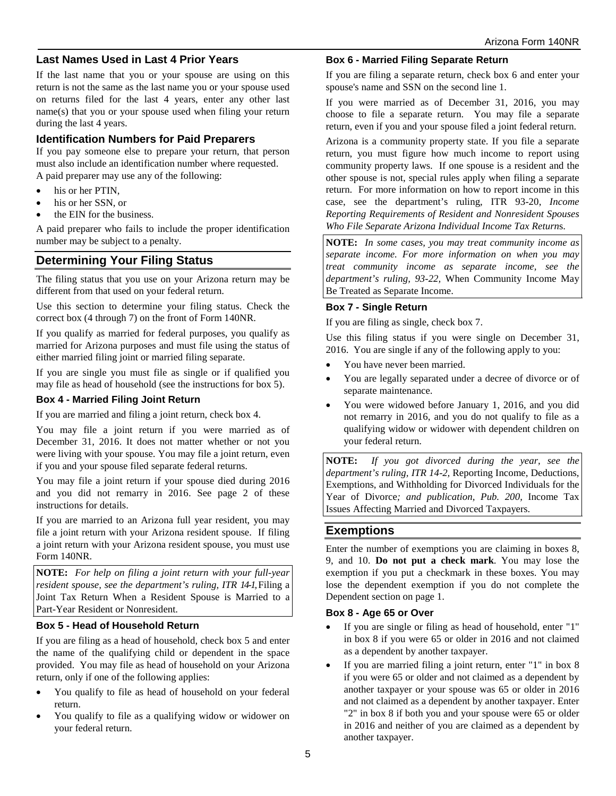### **Last Names Used in Last 4 Prior Years**

If the last name that you or your spouse are using on this return is not the same as the last name you or your spouse used on returns filed for the last 4 years, enter any other last name(s) that you or your spouse used when filing your return during the last 4 years.

## **Identification Numbers for Paid Preparers**

If you pay someone else to prepare your return, that person must also include an identification number where requested. A paid preparer may use any of the following:

- his or her PTIN.
- his or her SSN, or
- the EIN for the business.

A paid preparer who fails to include the proper identification number may be subject to a penalty.

## **Determining Your Filing Status**

The filing status that you use on your Arizona return may be different from that used on your federal return.

Use this section to determine your filing status. Check the correct box (4 through 7) on the front of Form 140NR.

If you qualify as married for federal purposes, you qualify as married for Arizona purposes and must file using the status of either married filing joint or married filing separate.

If you are single you must file as single or if qualified you may file as head of household (see the instructions for box 5).

### **Box 4 - Married Filing Joint Return**

If you are married and filing a joint return, check box 4.

You may file a joint return if you were married as of December 31, 2016. It does not matter whether or not you were living with your spouse. You may file a joint return, even if you and your spouse filed separate federal returns.

You may file a joint return if your spouse died during 2016 and you did not remarry in 2016. See page 2 of these instructions for details.

If you are married to an Arizona full year resident, you may file a joint return with your Arizona resident spouse. If filing a joint return with your Arizona resident spouse, you must use Form 140NR.

**NOTE:** *For help on filing a joint return with your full-year resident spouse, see the department's ruling, ITR 14-1,* Filing a Joint Tax Return When a Resident Spouse is Married to a Part-Year Resident or Nonresident.

#### **Box 5 - Head of Household Return**

If you are filing as a head of household, check box 5 and enter the name of the qualifying child or dependent in the space provided. You may file as head of household on your Arizona return, only if one of the following applies:

- You qualify to file as head of household on your federal return.
- You qualify to file as a qualifying widow or widower on your federal return.

#### **Box 6 - Married Filing Separate Return**

If you are filing a separate return, check box 6 and enter your spouse's name and SSN on the second line 1.

If you were married as of December 31, 2016, you may choose to file a separate return. You may file a separate return, even if you and your spouse filed a joint federal return.

Arizona is a community property state. If you file a separate return, you must figure how much income to report using community property laws. If one spouse is a resident and the other spouse is not, special rules apply when filing a separate return. For more information on how to report income in this case, see the department's ruling, ITR 93-20, *Income Reporting Requirements of Resident and Nonresident Spouses Who File Separate Arizona Individual Income Tax Return*s.

**NOTE:** *In some cases, you may treat community income as separate income. For more information on when you may treat community income as separate income, see the department's ruling, 93-22,* When Community Income May Be Treated as Separate Income.

### **Box 7 - Single Return**

If you are filing as single, check box 7.

Use this filing status if you were single on December 31, 2016. You are single if any of the following apply to you:

- You have never been married.
- You are legally separated under a decree of divorce or of separate maintenance.
- You were widowed before January 1, 2016, and you did not remarry in 2016, and you do not qualify to file as a qualifying widow or widower with dependent children on your federal return.

**NOTE:** *If you got divorced during the year, see the department's ruling, ITR 14-2,* Reporting Income, Deductions, Exemptions, and Withholding for Divorced Individuals for the Year of Divorce*; and publication, Pub. 200,* Income Tax Issues Affecting Married and Divorced Taxpayers.

### **Exemptions**

Enter the number of exemptions you are claiming in boxes 8, 9, and 10. **Do not put a check mark**. You may lose the exemption if you put a checkmark in these boxes. You may lose the dependent exemption if you do not complete the Dependent section on page 1.

#### **Box 8 - Age 65 or Over**

- If you are single or filing as head of household, enter "1" in box 8 if you were 65 or older in 2016 and not claimed as a dependent by another taxpayer.
- If you are married filing a joint return, enter "1" in box 8 if you were 65 or older and not claimed as a dependent by another taxpayer or your spouse was 65 or older in 2016 and not claimed as a dependent by another taxpayer. Enter "2" in box 8 if both you and your spouse were 65 or older in 2016 and neither of you are claimed as a dependent by another taxpayer.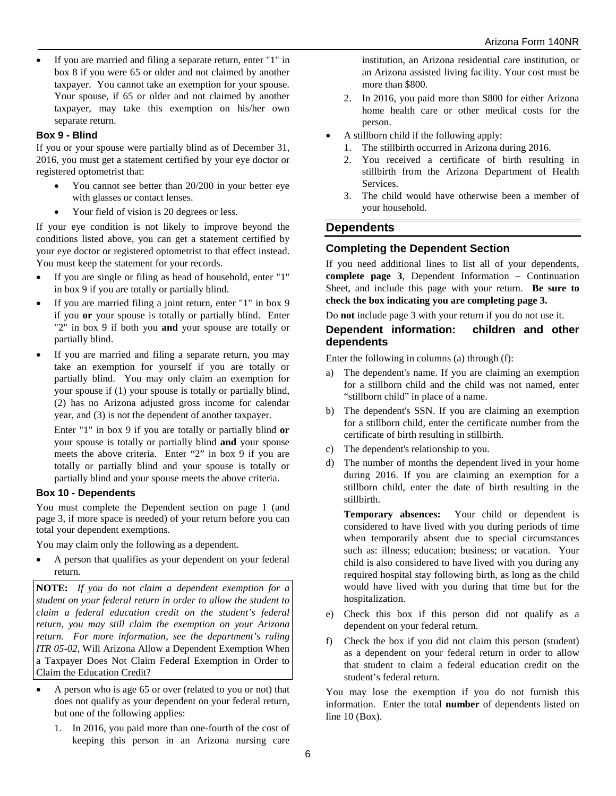If you are married and filing a separate return, enter "1" in box 8 if you were 65 or older and not claimed by another taxpayer. You cannot take an exemption for your spouse. Your spouse, if 65 or older and not claimed by another taxpayer, may take this exemption on his/her own separate return.

### **Box 9 - Blind**

If you or your spouse were partially blind as of December 31, 2016, you must get a statement certified by your eye doctor or registered optometrist that:

- You cannot see better than 20/200 in your better eye with glasses or contact lenses.
- Your field of vision is 20 degrees or less.

If your eye condition is not likely to improve beyond the conditions listed above, you can get a statement certified by your eye doctor or registered optometrist to that effect instead. You must keep the statement for your records.

- If you are single or filing as head of household, enter "1" in box 9 if you are totally or partially blind.
- If you are married filing a joint return, enter "1" in box 9 if you **or** your spouse is totally or partially blind. Enter "2" in box 9 if both you **and** your spouse are totally or partially blind.
- If you are married and filing a separate return, you may take an exemption for yourself if you are totally or partially blind. You may only claim an exemption for your spouse if (1) your spouse is totally or partially blind, (2) has no Arizona adjusted gross income for calendar year, and (3) is not the dependent of another taxpayer.

Enter "1" in box 9 if you are totally or partially blind **or** your spouse is totally or partially blind **and** your spouse meets the above criteria. Enter "2" in box 9 if you are totally or partially blind and your spouse is totally or partially blind and your spouse meets the above criteria.

#### **Box 10 - Dependents**

You must complete the Dependent section on page 1 (and page 3, if more space is needed) of your return before you can total your dependent exemptions.

You may claim only the following as a dependent.

• A person that qualifies as your dependent on your federal return.

**NOTE:** *If you do not claim a dependent exemption for a student on your federal return in order to allow the student to claim a federal education credit on the student's federal return, you may still claim the exemption on your Arizona return. For more information, see the department's ruling ITR 05-02,* Will Arizona Allow a Dependent Exemption When a Taxpayer Does Not Claim Federal Exemption in Order to Claim the Education Credit?

- A person who is age 65 or over (related to you or not) that does not qualify as your dependent on your federal return, but one of the following applies:
	- 1. In 2016, you paid more than one-fourth of the cost of keeping this person in an Arizona nursing care

institution, an Arizona residential care institution, or an Arizona assisted living facility. Your cost must be more than \$800.

- 2. In 2016, you paid more than \$800 for either Arizona home health care or other medical costs for the person.
- A stillborn child if the following apply:
	- 1. The stillbirth occurred in Arizona during 2016.
	- 2. You received a certificate of birth resulting in stillbirth from the Arizona Department of Health Services.
	- 3. The child would have otherwise been a member of your household.

## **Dependents**

## **Completing the Dependent Section**

If you need additional lines to list all of your dependents, **complete page 3**, Dependent Information – Continuation Sheet, and include this page with your return. **Be sure to check the box indicating you are completing page 3.**

Do **not** include page 3 with your return if you do not use it.

### **Dependent information: children and other dependents**

Enter the following in columns (a) through (f):

- a) The dependent's name. If you are claiming an exemption for a stillborn child and the child was not named, enter "stillborn child" in place of a name.
- b) The dependent's SSN. If you are claiming an exemption for a stillborn child, enter the certificate number from the certificate of birth resulting in stillbirth.
- c) The dependent's relationship to you.
- d) The number of months the dependent lived in your home during 2016. If you are claiming an exemption for a stillborn child, enter the date of birth resulting in the stillbirth.

**Temporary absences:** Your child or dependent is considered to have lived with you during periods of time when temporarily absent due to special circumstances such as: illness; education; business; or vacation. Your child is also considered to have lived with you during any required hospital stay following birth, as long as the child would have lived with you during that time but for the hospitalization.

- e) Check this box if this person did not qualify as a dependent on your federal return.
- f) Check the box if you did not claim this person (student) as a dependent on your federal return in order to allow that student to claim a federal education credit on the student's federal return.

You may lose the exemption if you do not furnish this information. Enter the total **number** of dependents listed on line 10 (Box).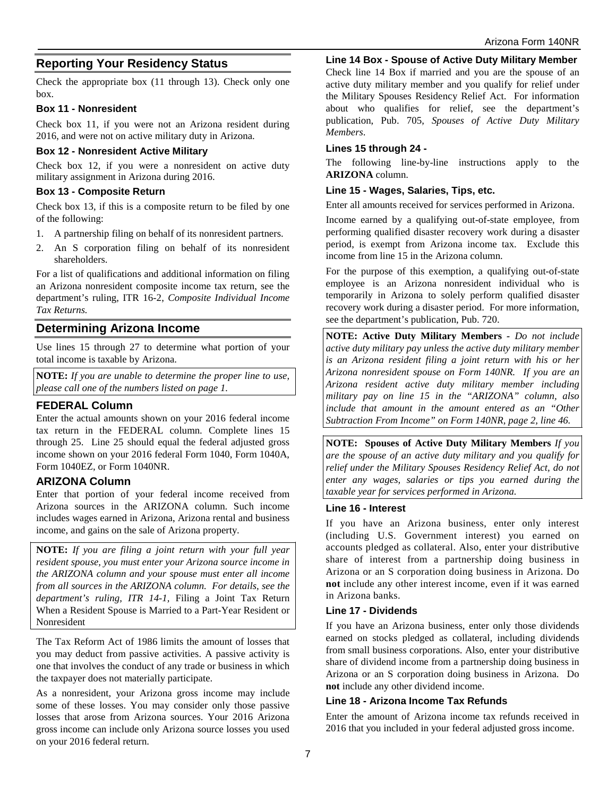## **Reporting Your Residency Status**

Check the appropriate box (11 through 13). Check only one box.

#### **Box 11 - Nonresident**

Check box 11, if you were not an Arizona resident during 2016, and were not on active military duty in Arizona.

#### **Box 12 - Nonresident Active Military**

Check box 12, if you were a nonresident on active duty military assignment in Arizona during 2016.

### **Box 13 - Composite Return**

Check box 13, if this is a composite return to be filed by one of the following:

- 1. A partnership filing on behalf of its nonresident partners.
- 2. An S corporation filing on behalf of its nonresident shareholders.

For a list of qualifications and additional information on filing an Arizona nonresident composite income tax return, see the department's ruling, ITR 16-2, *Composite Individual Income Tax Returns.*

## **Determining Arizona Income**

Use lines 15 through 27 to determine what portion of your total income is taxable by Arizona.

**NOTE:** *If you are unable to determine the proper line to use, please call one of the numbers listed on page 1.*

## **FEDERAL Column**

Enter the actual amounts shown on your 2016 federal income tax return in the FEDERAL column. Complete lines 15 through 25. Line 25 should equal the federal adjusted gross income shown on your 2016 federal Form 1040, Form 1040A, Form 1040EZ, or Form 1040NR.

## **ARIZONA Column**

Enter that portion of your federal income received from Arizona sources in the ARIZONA column. Such income includes wages earned in Arizona, Arizona rental and business income, and gains on the sale of Arizona property.

**NOTE:** *If you are filing a joint return with your full year resident spouse, you must enter your Arizona source income in the ARIZONA column and your spouse must enter all income from all sources in the ARIZONA column. For details, see the department's ruling, ITR 14-1,* Filing a Joint Tax Return When a Resident Spouse is Married to a Part-Year Resident or Nonresident

The Tax Reform Act of 1986 limits the amount of losses that you may deduct from passive activities. A passive activity is one that involves the conduct of any trade or business in which the taxpayer does not materially participate.

As a nonresident, your Arizona gross income may include some of these losses. You may consider only those passive losses that arose from Arizona sources. Your 2016 Arizona gross income can include only Arizona source losses you used on your 2016 federal return.

**Line 14 Box - Spouse of Active Duty Military Member**

Check line 14 Box if married and you are the spouse of an active duty military member and you qualify for relief under the Military Spouses Residency Relief Act. For information about who qualifies for relief, see the department's publication, Pub. 705, *Spouses of Active Duty Military Members*.

### **Lines 15 through 24 -**

The following line-by-line instructions apply to the **ARIZONA** column.

### **Line 15 - Wages, Salaries, Tips, etc.**

Enter all amounts received for services performed in Arizona.

Income earned by a qualifying out-of-state employee, from performing qualified disaster recovery work during a disaster period, is exempt from Arizona income tax. Exclude this income from line 15 in the Arizona column.

For the purpose of this exemption, a qualifying out-of-state employee is an Arizona nonresident individual who is temporarily in Arizona to solely perform qualified disaster recovery work during a disaster period. For more information, see the department's publication, Pub. 720.

**NOTE: Active Duty Military Members** *- Do not include active duty military pay unless the active duty military member is an Arizona resident filing a joint return with his or her Arizona nonresident spouse on Form 140NR. If you are an Arizona resident active duty military member including military pay on line 15 in the "ARIZONA" column, also include that amount in the amount entered as an "Other Subtraction From Income" on Form 140NR, page 2, line 46.* 

**NOTE: Spouses of Active Duty Military Members** *If you are the spouse of an active duty military and you qualify for relief under the Military Spouses Residency Relief Act, do not enter any wages, salaries or tips you earned during the taxable year for services performed in Arizona.*

#### **Line 16 - Interest**

If you have an Arizona business, enter only interest (including U.S. Government interest) you earned on accounts pledged as collateral. Also, enter your distributive share of interest from a partnership doing business in Arizona or an S corporation doing business in Arizona. Do **not** include any other interest income, even if it was earned in Arizona banks.

#### **Line 17 - Dividends**

If you have an Arizona business, enter only those dividends earned on stocks pledged as collateral, including dividends from small business corporations. Also, enter your distributive share of dividend income from a partnership doing business in Arizona or an S corporation doing business in Arizona. Do **not** include any other dividend income.

#### **Line 18 - Arizona Income Tax Refunds**

Enter the amount of Arizona income tax refunds received in 2016 that you included in your federal adjusted gross income.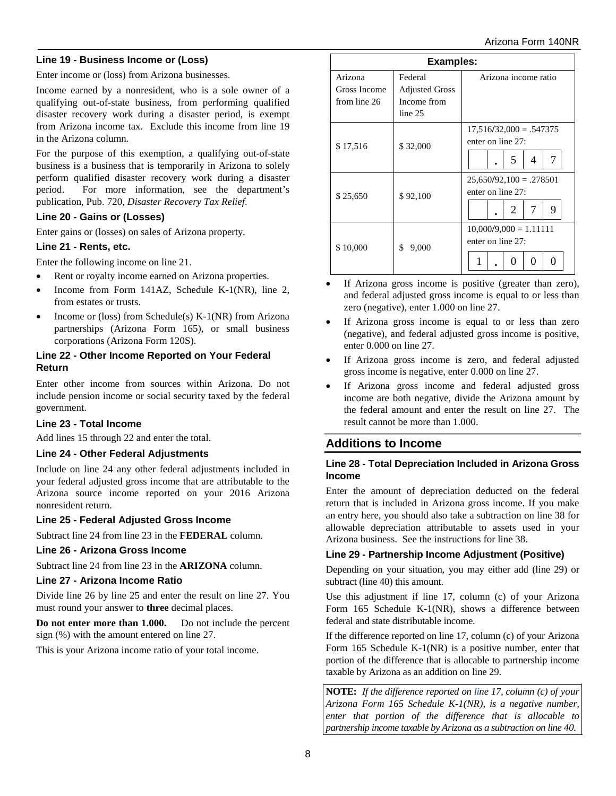#### **Line 19 - Business Income or (Loss)**

Enter income or (loss) from Arizona businesses.

Income earned by a nonresident, who is a sole owner of a qualifying out-of-state business, from performing qualified disaster recovery work during a disaster period, is exempt from Arizona income tax. Exclude this income from line 19 in the Arizona column.

For the purpose of this exemption, a qualifying out-of-state business is a business that is temporarily in Arizona to solely perform qualified disaster recovery work during a disaster period. For more information, see the department's publication, Pub. 720, *Disaster Recovery Tax Relief*.

#### **Line 20 - Gains or (Losses)**

Enter gains or (losses) on sales of Arizona property.

#### **Line 21 - Rents, etc.**

Enter the following income on line 21.

- Rent or royalty income earned on Arizona properties.
- Income from Form 141AZ, Schedule K-1(NR), line 2, from estates or trusts.
- Income or (loss) from Schedule(s) K-1(NR) from Arizona partnerships (Arizona Form 165), or small business corporations (Arizona Form 120S).

#### **Line 22 - Other Income Reported on Your Federal Return**

Enter other income from sources within Arizona. Do not include pension income or social security taxed by the federal government.

#### **Line 23 - Total Income**

Add lines 15 through 22 and enter the total.

#### **Line 24 - Other Federal Adjustments**

Include on line 24 any other federal adjustments included in your federal adjusted gross income that are attributable to the Arizona source income reported on your 2016 Arizona nonresident return.

#### **Line 25 - Federal Adjusted Gross Income**

Subtract line 24 from line 23 in the **FEDERAL** column.

#### **Line 26 - Arizona Gross Income**

Subtract line 24 from line 23 in the **ARIZONA** column.

#### **Line 27 - Arizona Income Ratio**

Divide line 26 by line 25 and enter the result on line 27. You must round your answer to **three** decimal places.

**Do not enter more than 1.000.** Do not include the percent sign (%) with the amount entered on line 27.

This is your Arizona income ratio of your total income.

| <b>Examples:</b>                        |                                                            |                                                               |  |  |
|-----------------------------------------|------------------------------------------------------------|---------------------------------------------------------------|--|--|
| Arizona<br>Gross Income<br>from line 26 | Federal<br><b>Adjusted Gross</b><br>Income from<br>line 25 | Arizona income ratio                                          |  |  |
| \$17,516                                | \$32,000                                                   | $17,516/32,000 = .547375$<br>enter on line 27:<br>7<br>5<br>4 |  |  |
| \$25,650                                | \$92,100                                                   | $25,650/92,100 = .278501$<br>enter on line 27:<br>7<br>9<br>2 |  |  |
| \$10,000                                | \$<br>9,000                                                | $10,000/9,000 = 1.11111$<br>enter on line 27:<br>0<br>0<br>0  |  |  |

- If Arizona gross income is positive (greater than zero), and federal adjusted gross income is equal to or less than zero (negative), enter 1.000 on line 27.
- If Arizona gross income is equal to or less than zero (negative), and federal adjusted gross income is positive, enter 0.000 on line 27.
- If Arizona gross income is zero, and federal adjusted gross income is negative, enter 0.000 on line 27.
- If Arizona gross income and federal adjusted gross income are both negative, divide the Arizona amount by the federal amount and enter the result on line 27. The result cannot be more than 1.000.

### **Additions to Income**

#### **Line 28 - Total Depreciation Included in Arizona Gross Income**

Enter the amount of depreciation deducted on the federal return that is included in Arizona gross income. If you make an entry here, you should also take a subtraction on line 38 for allowable depreciation attributable to assets used in your Arizona business. See the instructions for line 38.

#### **Line 29 - Partnership Income Adjustment (Positive)**

Depending on your situation, you may either add (line 29) or subtract (line 40) this amount.

Use this adjustment if line 17, column (c) of your Arizona Form 165 Schedule K-1(NR), shows a difference between federal and state distributable income.

If the difference reported on line 17, column (c) of your Arizona Form 165 Schedule K-1(NR) is a positive number, enter that portion of the difference that is allocable to partnership income taxable by Arizona as an addition on line 29.

**NOTE:** *If the difference reported on line 17, column (c) of your Arizona Form 165 Schedule K-1(NR), is a negative number, enter that portion of the difference that is allocable to partnership income taxable by Arizona as a subtraction on line 40.*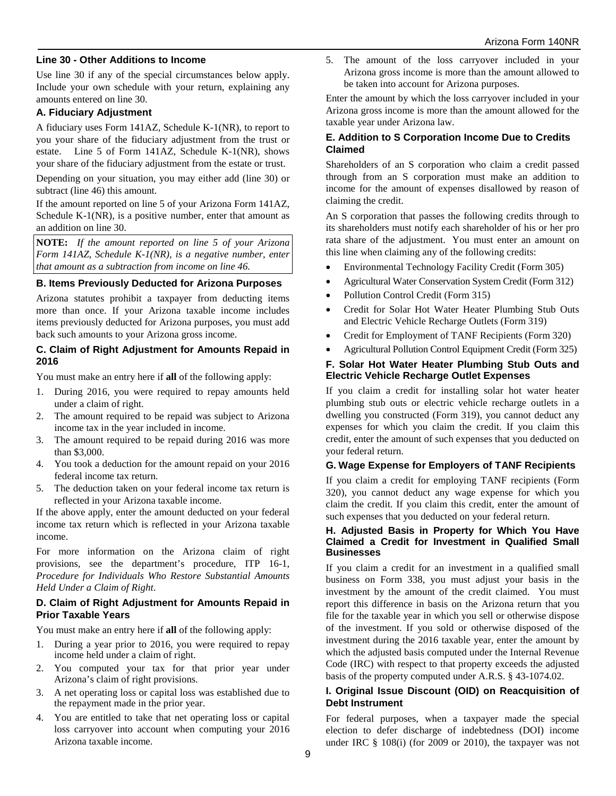#### **Line 30 - Other Additions to Income**

Use line 30 if any of the special circumstances below apply. Include your own schedule with your return, explaining any amounts entered on line 30.

#### **A. Fiduciary Adjustment**

A fiduciary uses Form 141AZ, Schedule K-1(NR), to report to you your share of the fiduciary adjustment from the trust or estate. Line 5 of Form 141AZ, Schedule K-1(NR), shows your share of the fiduciary adjustment from the estate or trust.

Depending on your situation, you may either add (line 30) or subtract (line 46) this amount.

If the amount reported on line 5 of your Arizona Form 141AZ, Schedule K-1(NR), is a positive number, enter that amount as an addition on line 30.

**NOTE:** *If the amount reported on line 5 of your Arizona Form 141AZ, Schedule K-1(NR), is a negative number, enter that amount as a subtraction from income on line 46.*

#### **B. Items Previously Deducted for Arizona Purposes**

Arizona statutes prohibit a taxpayer from deducting items more than once. If your Arizona taxable income includes items previously deducted for Arizona purposes, you must add back such amounts to your Arizona gross income.

#### **C. Claim of Right Adjustment for Amounts Repaid in 2016**

You must make an entry here if **all** of the following apply:

- 1. During 2016, you were required to repay amounts held under a claim of right.
- 2. The amount required to be repaid was subject to Arizona income tax in the year included in income.
- 3. The amount required to be repaid during 2016 was more than \$3,000.
- 4. You took a deduction for the amount repaid on your 2016 federal income tax return.
- 5. The deduction taken on your federal income tax return is reflected in your Arizona taxable income.

If the above apply, enter the amount deducted on your federal income tax return which is reflected in your Arizona taxable income.

For more information on the Arizona claim of right provisions, see the department's procedure, ITP 16-1, *Procedure for Individuals Who Restore Substantial Amounts Held Under a Claim of Right*.

#### **D. Claim of Right Adjustment for Amounts Repaid in Prior Taxable Years**

You must make an entry here if **all** of the following apply:

- 1. During a year prior to 2016, you were required to repay income held under a claim of right.
- 2. You computed your tax for that prior year under Arizona's claim of right provisions.
- 3. A net operating loss or capital loss was established due to the repayment made in the prior year.
- 4. You are entitled to take that net operating loss or capital loss carryover into account when computing your 2016 Arizona taxable income.

5. The amount of the loss carryover included in your Arizona gross income is more than the amount allowed to be taken into account for Arizona purposes.

Enter the amount by which the loss carryover included in your Arizona gross income is more than the amount allowed for the taxable year under Arizona law.

### **E. Addition to S Corporation Income Due to Credits Claimed**

Shareholders of an S corporation who claim a credit passed through from an S corporation must make an addition to income for the amount of expenses disallowed by reason of claiming the credit.

An S corporation that passes the following credits through to its shareholders must notify each shareholder of his or her pro rata share of the adjustment. You must enter an amount on this line when claiming any of the following credits:

- Environmental Technology Facility Credit (Form 305)
- Agricultural Water Conservation System Credit (Form 312)
- Pollution Control Credit (Form 315)
- Credit for Solar Hot Water Heater Plumbing Stub Outs and Electric Vehicle Recharge Outlets (Form 319)
- Credit for Employment of TANF Recipients (Form 320)
- Agricultural Pollution Control Equipment Credit (Form 325)

### **F. Solar Hot Water Heater Plumbing Stub Outs and Electric Vehicle Recharge Outlet Expenses**

If you claim a credit for installing solar hot water heater plumbing stub outs or electric vehicle recharge outlets in a dwelling you constructed (Form 319), you cannot deduct any expenses for which you claim the credit. If you claim this credit, enter the amount of such expenses that you deducted on your federal return.

### **G. Wage Expense for Employers of TANF Recipients**

If you claim a credit for employing TANF recipients (Form 320), you cannot deduct any wage expense for which you claim the credit. If you claim this credit, enter the amount of such expenses that you deducted on your federal return.

#### **H. Adjusted Basis in Property for Which You Have Claimed a Credit for Investment in Qualified Small Businesses**

If you claim a credit for an investment in a qualified small business on Form 338, you must adjust your basis in the investment by the amount of the credit claimed. You must report this difference in basis on the Arizona return that you file for the taxable year in which you sell or otherwise dispose of the investment. If you sold or otherwise disposed of the investment during the 2016 taxable year, enter the amount by which the adjusted basis computed under the Internal Revenue Code (IRC) with respect to that property exceeds the adjusted basis of the property computed under A.R.S. § 43-1074.02.

### **I. Original Issue Discount (OID) on Reacquisition of Debt Instrument**

For federal purposes, when a taxpayer made the special election to defer discharge of indebtedness (DOI) income under IRC § 108(i) (for 2009 or 2010), the taxpayer was not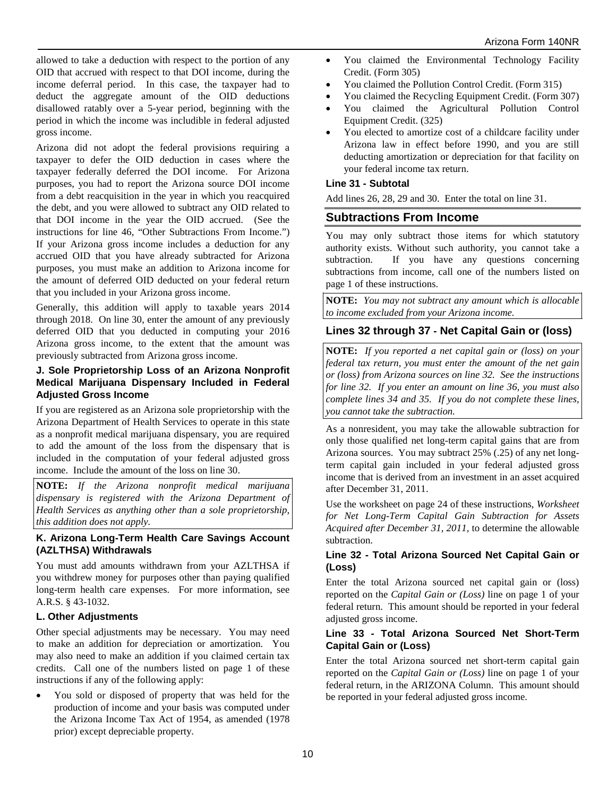allowed to take a deduction with respect to the portion of any OID that accrued with respect to that DOI income, during the income deferral period. In this case, the taxpayer had to deduct the aggregate amount of the OID deductions disallowed ratably over a 5-year period, beginning with the period in which the income was includible in federal adjusted gross income.

Arizona did not adopt the federal provisions requiring a taxpayer to defer the OID deduction in cases where the taxpayer federally deferred the DOI income. For Arizona purposes, you had to report the Arizona source DOI income from a debt reacquisition in the year in which you reacquired the debt, and you were allowed to subtract any OID related to that DOI income in the year the OID accrued. (See the instructions for line 46, "Other Subtractions From Income.") If your Arizona gross income includes a deduction for any accrued OID that you have already subtracted for Arizona purposes, you must make an addition to Arizona income for the amount of deferred OID deducted on your federal return that you included in your Arizona gross income.

Generally, this addition will apply to taxable years 2014 through 2018. On line 30, enter the amount of any previously deferred OID that you deducted in computing your 2016 Arizona gross income, to the extent that the amount was previously subtracted from Arizona gross income.

### **J. Sole Proprietorship Loss of an Arizona Nonprofit Medical Marijuana Dispensary Included in Federal Adjusted Gross Income**

If you are registered as an Arizona sole proprietorship with the Arizona Department of Health Services to operate in this state as a nonprofit medical marijuana dispensary, you are required to add the amount of the loss from the dispensary that is included in the computation of your federal adjusted gross income. Include the amount of the loss on line 30.

**NOTE:** *If the Arizona nonprofit medical marijuana dispensary is registered with the Arizona Department of Health Services as anything other than a sole proprietorship, this addition does not apply.*

### **K. Arizona Long-Term Health Care Savings Account (AZLTHSA) Withdrawals**

You must add amounts withdrawn from your AZLTHSA if you withdrew money for purposes other than paying qualified long-term health care expenses. For more information, see A.R.S. § 43-1032.

### **L. Other Adjustments**

Other special adjustments may be necessary. You may need to make an addition for depreciation or amortization. You may also need to make an addition if you claimed certain tax credits. Call one of the numbers listed on page 1 of these instructions if any of the following apply:

• You sold or disposed of property that was held for the production of income and your basis was computed under the Arizona Income Tax Act of 1954, as amended (1978 prior) except depreciable property.

- You claimed the Environmental Technology Facility Credit. (Form 305)
- You claimed the Pollution Control Credit. (Form 315)
- You claimed the Recycling Equipment Credit. (Form 307)
- You claimed the Agricultural Pollution Control Equipment Credit. (325)
- You elected to amortize cost of a childcare facility under Arizona law in effect before 1990, and you are still deducting amortization or depreciation for that facility on your federal income tax return.

#### **Line 31 - Subtotal**

Add lines 26, 28, 29 and 30. Enter the total on line 31.

## **Subtractions From Income**

You may only subtract those items for which statutory authority exists. Without such authority, you cannot take a subtraction. If you have any questions concerning subtractions from income, call one of the numbers listed on page 1 of these instructions.

**NOTE:** *You may not subtract any amount which is allocable to income excluded from your Arizona income.*

## **Lines 32 through 37 - Net Capital Gain or (loss)**

**NOTE:** *If you reported a net capital gain or (loss) on your federal tax return, you must enter the amount of the net gain or (loss) from Arizona sources on line 32. See the instructions for line 32. If you enter an amount on line 36, you must also complete lines 34 and 35. If you do not complete these lines, you cannot take the subtraction.*

As a nonresident, you may take the allowable subtraction for only those qualified net long-term capital gains that are from Arizona sources. You may subtract 25% (.25) of any net longterm capital gain included in your federal adjusted gross income that is derived from an investment in an asset acquired after December 31, 2011.

Use the worksheet on page 24 of these instructions, *Worksheet for Net Long-Term Capital Gain Subtraction for Assets Acquired after December 31, 2011,* to determine the allowable subtraction.

### **Line 32** *-* **Total Arizona Sourced Net Capital Gain or (Loss)**

Enter the total Arizona sourced net capital gain or (loss) reported on the *Capital Gain or (Loss)* line on page 1 of your federal return. This amount should be reported in your federal adjusted gross income.

### **Line 33** *-* **Total Arizona Sourced Net Short-Term Capital Gain or (Loss)**

Enter the total Arizona sourced net short-term capital gain reported on the *Capital Gain or (Loss)* line on page 1 of your federal return, in the ARIZONA Column. This amount should be reported in your federal adjusted gross income.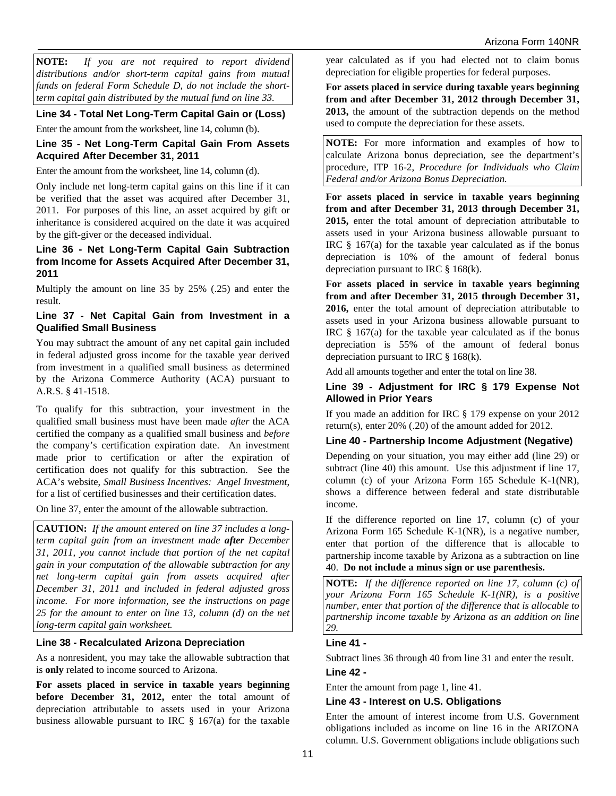**NOTE:** *If you are not required to report dividend distributions and/or short-term capital gains from mutual funds on federal Form Schedule D, do not include the shortterm capital gain distributed by the mutual fund on line 33.*

### **Line 34 - Total Net Long-Term Capital Gain or (Loss)**

Enter the amount from the worksheet, line 14, column (b).

#### **Line 35 - Net Long-Term Capital Gain From Assets Acquired After December 31, 2011**

Enter the amount from the worksheet, line 14, column (d).

Only include net long-term capital gains on this line if it can be verified that the asset was acquired after December 31, 2011. For purposes of this line, an asset acquired by gift or inheritance is considered acquired on the date it was acquired by the gift-giver or the deceased individual.

### **Line 36 - Net Long-Term Capital Gain Subtraction from Income for Assets Acquired After December 31, 2011**

Multiply the amount on line 35 by 25% (.25) and enter the result.

#### **Line 37 - Net Capital Gain from Investment in a Qualified Small Business**

You may subtract the amount of any net capital gain included in federal adjusted gross income for the taxable year derived from investment in a qualified small business as determined by the Arizona Commerce Authority (ACA) pursuant to A.R.S. § 41-1518.

To qualify for this subtraction, your investment in the qualified small business must have been made *after* the ACA certified the company as a qualified small business and *before* the company's certification expiration date. An investment made prior to certification or after the expiration of certification does not qualify for this subtraction. See the ACA's website, *Small Business Incentives: Angel Investment*, for a list of certified businesses and their certification dates.

On line 37, enter the amount of the allowable subtraction.

**CAUTION:** *If the amount entered on line 37 includes a longterm capital gain from an investment made after December 31, 2011, you cannot include that portion of the net capital gain in your computation of the allowable subtraction for any net long-term capital gain from assets acquired after December 31, 2011 and included in federal adjusted gross income. For more information, see the instructions on page 25 for the amount to enter on line 13, column (d) on the net long-term capital gain worksheet.*

### **Line 38 - Recalculated Arizona Depreciation**

As a nonresident, you may take the allowable subtraction that is **only** related to income sourced to Arizona.

**For assets placed in service in taxable years beginning**  before December 31, 2012, enter the total amount of depreciation attributable to assets used in your Arizona business allowable pursuant to IRC  $\S$  167(a) for the taxable year calculated as if you had elected not to claim bonus depreciation for eligible properties for federal purposes.

**For assets placed in service during taxable years beginning from and after December 31, 2012 through December 31, 2013,** the amount of the subtraction depends on the method used to compute the depreciation for these assets.

**NOTE:** For more information and examples of how to calculate Arizona bonus depreciation, see the department's procedure, ITP 16-2, *Procedure for Individuals who Claim Federal and/or Arizona Bonus Depreciation.*

**For assets placed in service in taxable years beginning from and after December 31, 2013 through December 31, 2015,** enter the total amount of depreciation attributable to assets used in your Arizona business allowable pursuant to IRC  $§$  167(a) for the taxable year calculated as if the bonus depreciation is 10% of the amount of federal bonus depreciation pursuant to IRC  $\S$  168(k).

**For assets placed in service in taxable years beginning from and after December 31, 2015 through December 31, 2016,** enter the total amount of depreciation attributable to assets used in your Arizona business allowable pursuant to IRC  $§$  167(a) for the taxable year calculated as if the bonus depreciation is 55% of the amount of federal bonus depreciation pursuant to IRC  $\S$  168(k).

Add all amounts together and enter the total on line 38.

### **Line 39 - Adjustment for IRC § 179 Expense Not Allowed in Prior Years**

If you made an addition for IRC § 179 expense on your 2012 return(s), enter 20% (.20) of the amount added for 2012.

#### **Line 40 - Partnership Income Adjustment (Negative)**

Depending on your situation, you may either add (line 29) or subtract (line 40) this amount. Use this adjustment if line 17, column (c) of your Arizona Form 165 Schedule K-1(NR), shows a difference between federal and state distributable income.

If the difference reported on line 17, column (c) of your Arizona Form 165 Schedule K-1(NR), is a negative number, enter that portion of the difference that is allocable to partnership income taxable by Arizona as a subtraction on line 40. **Do not include a minus sign or use parenthesis.**

**NOTE:** *If the difference reported on line 17, column (c) of your Arizona Form 165 Schedule K-1(NR), is a positive number, enter that portion of the difference that is allocable to partnership income taxable by Arizona as an addition on line 29.*

#### **Line 41 -**

Subtract lines 36 through 40 from line 31 and enter the result.

#### **Line 42 -**

Enter the amount from page 1, line 41.

#### **Line 43 - Interest on U.S. Obligations**

Enter the amount of interest income from U.S. Government obligations included as income on line 16 in the ARIZONA column. U.S. Government obligations include obligations such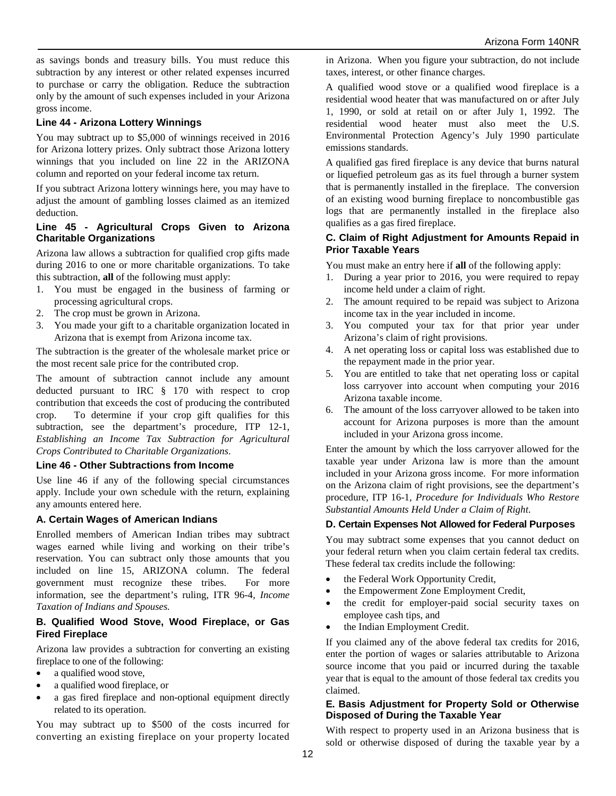as savings bonds and treasury bills. You must reduce this subtraction by any interest or other related expenses incurred to purchase or carry the obligation. Reduce the subtraction only by the amount of such expenses included in your Arizona gross income.

### **Line 44 - Arizona Lottery Winnings**

You may subtract up to \$5,000 of winnings received in 2016 for Arizona lottery prizes. Only subtract those Arizona lottery winnings that you included on line 22 in the ARIZONA column and reported on your federal income tax return.

If you subtract Arizona lottery winnings here, you may have to adjust the amount of gambling losses claimed as an itemized deduction.

#### **Line 45 - Agricultural Crops Given to Arizona Charitable Organizations**

Arizona law allows a subtraction for qualified crop gifts made during 2016 to one or more charitable organizations. To take this subtraction, **all** of the following must apply:

- 1. You must be engaged in the business of farming or processing agricultural crops.
- 2. The crop must be grown in Arizona.
- 3. You made your gift to a charitable organization located in Arizona that is exempt from Arizona income tax.

The subtraction is the greater of the wholesale market price or the most recent sale price for the contributed crop.

The amount of subtraction cannot include any amount deducted pursuant to IRC § 170 with respect to crop contribution that exceeds the cost of producing the contributed crop. To determine if your crop gift qualifies for this subtraction, see the department's procedure, ITP 12-1, *Establishing an Income Tax Subtraction for Agricultural Crops Contributed to Charitable Organizations*.

### **Line 46 - Other Subtractions from Income**

Use line 46 if any of the following special circumstances apply. Include your own schedule with the return, explaining any amounts entered here.

### **A. Certain Wages of American Indians**

Enrolled members of American Indian tribes may subtract wages earned while living and working on their tribe's reservation. You can subtract only those amounts that you included on line 15, ARIZONA column. The federal government must recognize these tribes. For more information, see the department's ruling, ITR 96-4, *Income Taxation of Indians and Spouses.*

### **B. Qualified Wood Stove, Wood Fireplace, or Gas Fired Fireplace**

Arizona law provides a subtraction for converting an existing fireplace to one of the following:

- a qualified wood stove,
- a qualified wood fireplace, or
- a gas fired fireplace and non-optional equipment directly related to its operation.

You may subtract up to \$500 of the costs incurred for converting an existing fireplace on your property located

in Arizona. When you figure your subtraction, do not include taxes, interest, or other finance charges.

A qualified wood stove or a qualified wood fireplace is a residential wood heater that was manufactured on or after July 1, 1990, or sold at retail on or after July 1, 1992. The residential wood heater must also meet the U.S. Environmental Protection Agency's July 1990 particulate emissions standards.

A qualified gas fired fireplace is any device that burns natural or liquefied petroleum gas as its fuel through a burner system that is permanently installed in the fireplace. The conversion of an existing wood burning fireplace to noncombustible gas logs that are permanently installed in the fireplace also qualifies as a gas fired fireplace.

### **C. Claim of Right Adjustment for Amounts Repaid in Prior Taxable Years**

You must make an entry here if **all** of the following apply:

- 1. During a year prior to 2016, you were required to repay income held under a claim of right.
- 2. The amount required to be repaid was subject to Arizona income tax in the year included in income.
- 3. You computed your tax for that prior year under Arizona's claim of right provisions.
- 4. A net operating loss or capital loss was established due to the repayment made in the prior year.
- 5. You are entitled to take that net operating loss or capital loss carryover into account when computing your 2016 Arizona taxable income.
- 6. The amount of the loss carryover allowed to be taken into account for Arizona purposes is more than the amount included in your Arizona gross income.

Enter the amount by which the loss carryover allowed for the taxable year under Arizona law is more than the amount included in your Arizona gross income. For more information on the Arizona claim of right provisions, see the department's procedure, ITP 16-1, *Procedure for Individuals Who Restore Substantial Amounts Held Under a Claim of Right*.

### **D. Certain Expenses Not Allowed for Federal Purposes**

You may subtract some expenses that you cannot deduct on your federal return when you claim certain federal tax credits. These federal tax credits include the following:

- the Federal Work Opportunity Credit,
- the Empowerment Zone Employment Credit,
- the credit for employer-paid social security taxes on employee cash tips, and
- the Indian Employment Credit.

If you claimed any of the above federal tax credits for 2016, enter the portion of wages or salaries attributable to Arizona source income that you paid or incurred during the taxable year that is equal to the amount of those federal tax credits you claimed.

### **E. Basis Adjustment for Property Sold or Otherwise Disposed of During the Taxable Year**

With respect to property used in an Arizona business that is sold or otherwise disposed of during the taxable year by a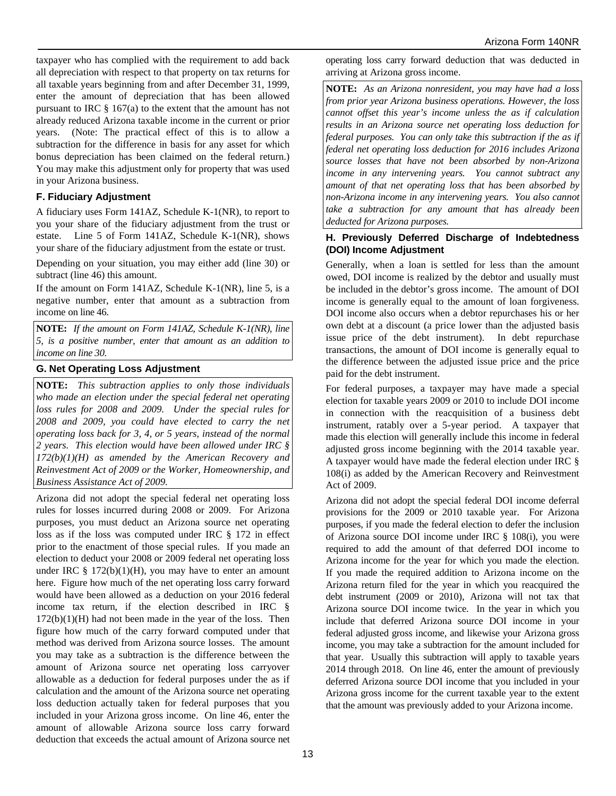taxpayer who has complied with the requirement to add back all depreciation with respect to that property on tax returns for all taxable years beginning from and after December 31, 1999, enter the amount of depreciation that has been allowed pursuant to IRC § 167(a) to the extent that the amount has not already reduced Arizona taxable income in the current or prior years. (Note: The practical effect of this is to allow a subtraction for the difference in basis for any asset for which bonus depreciation has been claimed on the federal return.) You may make this adjustment only for property that was used in your Arizona business.

### **F. Fiduciary Adjustment**

A fiduciary uses Form 141AZ, Schedule K-1(NR), to report to you your share of the fiduciary adjustment from the trust or estate. Line 5 of Form 141AZ, Schedule K-1(NR), shows your share of the fiduciary adjustment from the estate or trust.

Depending on your situation, you may either add (line 30) or subtract (line 46) this amount.

If the amount on Form 141AZ, Schedule K-1(NR), line 5, is a negative number, enter that amount as a subtraction from income on line 46.

**NOTE:** *If the amount on Form 141AZ, Schedule K-1(NR), line 5, is a positive number, enter that amount as an addition to income on line 30.*

### **G. Net Operating Loss Adjustment**

**NOTE:** *This subtraction applies to only those individuals who made an election under the special federal net operating loss rules for 2008 and 2009. Under the special rules for 2008 and 2009, you could have elected to carry the net operating loss back for 3, 4, or 5 years, instead of the normal 2 years. This election would have been allowed under IRC § 172(b)(1)(H) as amended by the American Recovery and Reinvestment Act of 2009 or the Worker, Homeownership, and Business Assistance Act of 2009.*

Arizona did not adopt the special federal net operating loss rules for losses incurred during 2008 or 2009. For Arizona purposes, you must deduct an Arizona source net operating loss as if the loss was computed under IRC § 172 in effect prior to the enactment of those special rules. If you made an election to deduct your 2008 or 2009 federal net operating loss under IRC  $\S 172(b)(1)(H)$ , you may have to enter an amount here. Figure how much of the net operating loss carry forward would have been allowed as a deduction on your 2016 federal income tax return, if the election described in IRC §  $172(b)(1)(H)$  had not been made in the year of the loss. Then figure how much of the carry forward computed under that method was derived from Arizona source losses. The amount you may take as a subtraction is the difference between the amount of Arizona source net operating loss carryover allowable as a deduction for federal purposes under the as if calculation and the amount of the Arizona source net operating loss deduction actually taken for federal purposes that you included in your Arizona gross income. On line 46, enter the amount of allowable Arizona source loss carry forward deduction that exceeds the actual amount of Arizona source net

operating loss carry forward deduction that was deducted in arriving at Arizona gross income.

**NOTE:** *As an Arizona nonresident, you may have had a loss from prior year Arizona business operations. However, the loss cannot offset this year's income unless the as if calculation results in an Arizona source net operating loss deduction for federal purposes. You can only take this subtraction if the as if federal net operating loss deduction for 2016 includes Arizona source losses that have not been absorbed by non-Arizona income in any intervening years. You cannot subtract any amount of that net operating loss that has been absorbed by non-Arizona income in any intervening years. You also cannot take a subtraction for any amount that has already been deducted for Arizona purposes.* 

### **H. Previously Deferred Discharge of Indebtedness (DOI) Income Adjustment**

Generally, when a loan is settled for less than the amount owed, DOI income is realized by the debtor and usually must be included in the debtor's gross income. The amount of DOI income is generally equal to the amount of loan forgiveness. DOI income also occurs when a debtor repurchases his or her own debt at a discount (a price lower than the adjusted basis issue price of the debt instrument). In debt repurchase transactions, the amount of DOI income is generally equal to the difference between the adjusted issue price and the price paid for the debt instrument.

For federal purposes, a taxpayer may have made a special election for taxable years 2009 or 2010 to include DOI income in connection with the reacquisition of a business debt instrument, ratably over a 5-year period. A taxpayer that made this election will generally include this income in federal adjusted gross income beginning with the 2014 taxable year. A taxpayer would have made the federal election under IRC § 108(i) as added by the American Recovery and Reinvestment Act of 2009.

Arizona did not adopt the special federal DOI income deferral provisions for the 2009 or 2010 taxable year. For Arizona purposes, if you made the federal election to defer the inclusion of Arizona source DOI income under IRC § 108(i), you were required to add the amount of that deferred DOI income to Arizona income for the year for which you made the election. If you made the required addition to Arizona income on the Arizona return filed for the year in which you reacquired the debt instrument (2009 or 2010), Arizona will not tax that Arizona source DOI income twice. In the year in which you include that deferred Arizona source DOI income in your federal adjusted gross income, and likewise your Arizona gross income, you may take a subtraction for the amount included for that year. Usually this subtraction will apply to taxable years 2014 through 2018. On line 46, enter the amount of previously deferred Arizona source DOI income that you included in your Arizona gross income for the current taxable year to the extent that the amount was previously added to your Arizona income.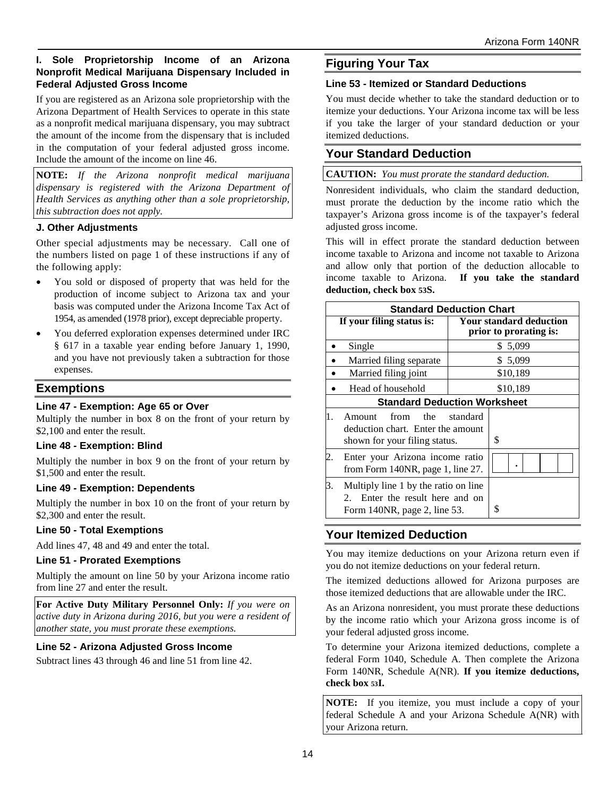### **I. Sole Proprietorship Income of an Arizona Nonprofit Medical Marijuana Dispensary Included in Federal Adjusted Gross Income**

If you are registered as an Arizona sole proprietorship with the Arizona Department of Health Services to operate in this state as a nonprofit medical marijuana dispensary, you may subtract the amount of the income from the dispensary that is included in the computation of your federal adjusted gross income. Include the amount of the income on line 46.

**NOTE:** *If the Arizona nonprofit medical marijuana dispensary is registered with the Arizona Department of Health Services as anything other than a sole proprietorship, this subtraction does not apply.*

#### **J. Other Adjustments**

Other special adjustments may be necessary. Call one of the numbers listed on page 1 of these instructions if any of the following apply:

- You sold or disposed of property that was held for the production of income subject to Arizona tax and your basis was computed under the Arizona Income Tax Act of 1954, as amended (1978 prior), except depreciable property.
- You deferred exploration expenses determined under IRC § 617 in a taxable year ending before January 1, 1990, and you have not previously taken a subtraction for those expenses.

## **Exemptions**

#### **Line 47 - Exemption: Age 65 or Over**

Multiply the number in box 8 on the front of your return by \$2,100 and enter the result.

#### **Line 48 - Exemption: Blind**

Multiply the number in box 9 on the front of your return by \$1,500 and enter the result.

#### **Line 49 - Exemption: Dependents**

Multiply the number in box 10 on the front of your return by \$2,300 and enter the result.

#### **Line 50 - Total Exemptions**

Add lines 47, 48 and 49 and enter the total.

#### **Line 51 - Prorated Exemptions**

Multiply the amount on line 50 by your Arizona income ratio from line 27 and enter the result.

**For Active Duty Military Personnel Only:** *If you were on active duty in Arizona during 2016, but you were a resident of another state, you must prorate these exemptions.*

### **Line 52 - Arizona Adjusted Gross Income**

Subtract lines 43 through 46 and line 51 from line 42.

## **Figuring Your Tax**

### **Line 53 - Itemized or Standard Deductions**

You must decide whether to take the standard deduction or to itemize your deductions. Your Arizona income tax will be less if you take the larger of your standard deduction or your itemized deductions.

## **Your Standard Deduction**

**CAUTION:** *You must prorate the standard deduction.*

Nonresident individuals, who claim the standard deduction, must prorate the deduction by the income ratio which the taxpayer's Arizona gross income is of the taxpayer's federal adjusted gross income.

This will in effect prorate the standard deduction between income taxable to Arizona and income not taxable to Arizona and allow only that portion of the deduction allocable to income taxable to Arizona. **If you take the standard deduction, check box 53S.**

|    | <b>Standard Deduction Chart</b>                                                                         |                                                          |  |  |  |
|----|---------------------------------------------------------------------------------------------------------|----------------------------------------------------------|--|--|--|
|    | If your filing status is:                                                                               | <b>Your standard deduction</b><br>prior to prorating is: |  |  |  |
|    | Single                                                                                                  | \$5,099                                                  |  |  |  |
|    | Married filing separate                                                                                 | \$5,099                                                  |  |  |  |
|    | Married filing joint                                                                                    | \$10,189                                                 |  |  |  |
|    | Head of household                                                                                       | \$10,189                                                 |  |  |  |
|    |                                                                                                         | <b>Standard Deduction Worksheet</b>                      |  |  |  |
| 1. | from the<br>Amount<br>deduction chart. Enter the amount<br>shown for your filing status.                | standard<br>\$                                           |  |  |  |
|    | Enter your Arizona income ratio<br>from Form 140NR, page 1, line 27.                                    |                                                          |  |  |  |
| 3. | Multiply line 1 by the ratio on line<br>2. Enter the result here and on<br>Form 140NR, page 2, line 53. | \$                                                       |  |  |  |

## **Your Itemized Deduction**

You may itemize deductions on your Arizona return even if you do not itemize deductions on your federal return.

The itemized deductions allowed for Arizona purposes are those itemized deductions that are allowable under the IRC.

As an Arizona nonresident, you must prorate these deductions by the income ratio which your Arizona gross income is of your federal adjusted gross income.

To determine your Arizona itemized deductions, complete a federal Form 1040, Schedule A. Then complete the Arizona Form 140NR, Schedule A(NR). **If you itemize deductions, check box 53I.**

**NOTE:** If you itemize, you must include a copy of your federal Schedule A and your Arizona Schedule A(NR) with your Arizona return.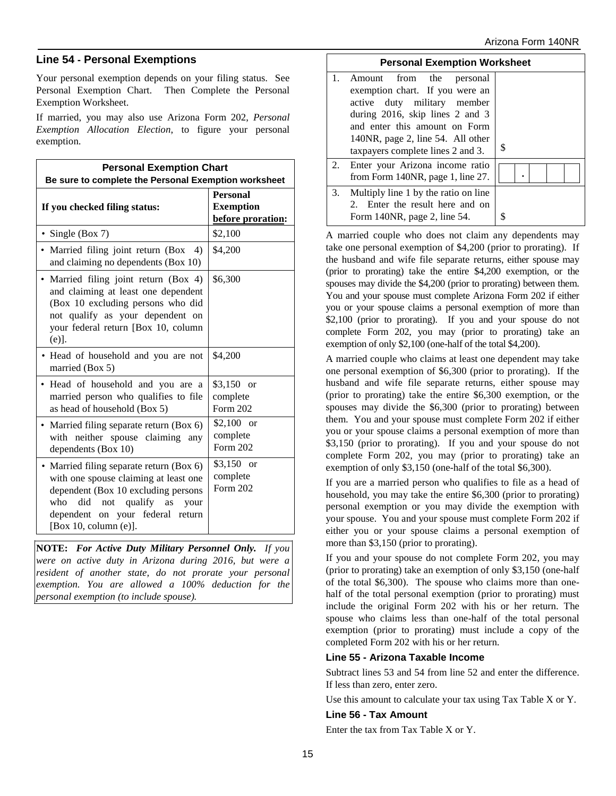### **Line 54 - Personal Exemptions**

Your personal exemption depends on your filing status. See Personal Exemption Chart. Then Complete the Personal Exemption Worksheet.

If married, you may also use Arizona Form 202, *Personal Exemption Allocation Election*, to figure your personal exemption.

| <b>Personal Exemption Chart</b><br>Be sure to complete the Personal Exemption worksheet                                                                                                                                             |                                                          |  |  |
|-------------------------------------------------------------------------------------------------------------------------------------------------------------------------------------------------------------------------------------|----------------------------------------------------------|--|--|
| If you checked filing status:                                                                                                                                                                                                       | <b>Personal</b><br><b>Exemption</b><br>before proration: |  |  |
| Single (Box 7)                                                                                                                                                                                                                      | \$2,100                                                  |  |  |
| Married filing joint return (Box 4)<br>and claiming no dependents (Box 10)                                                                                                                                                          | \$4,200                                                  |  |  |
| Married filing joint return (Box 4)<br>and claiming at least one dependent<br>(Box 10 excluding persons who did<br>not qualify as your dependent on<br>your federal return [Box 10, column<br>$(e)$ ].                              | \$6,300                                                  |  |  |
| Head of household and you are not<br>married (Box 5)                                                                                                                                                                                | \$4,200                                                  |  |  |
| Head of household and you are a<br>married person who qualifies to file<br>as head of household (Box 5)                                                                                                                             | $$3,150$ or<br>complete<br>Form 202                      |  |  |
| Married filing separate return (Box 6)<br>with neither spouse claiming<br>any<br>dependents (Box 10)                                                                                                                                | $$2,100$ or<br>complete<br>Form 202                      |  |  |
| • Married filing separate return (Box 6)<br>with one spouse claiming at least one<br>dependent (Box 10 excluding persons<br>did<br>qualify as<br>who<br>not<br>your<br>dependent on your federal return<br>[Box 10, column $(e)$ ]. | $$3,150$ or<br>complete<br>Form 202                      |  |  |

**NOTE:** *For Active Duty Military Personnel Only. If you were on active duty in Arizona during 2016, but were a resident of another state, do not prorate your personal exemption. You are allowed a 100% deduction for the personal exemption (to include spouse).*

| <b>Personal Exemption Worksheet</b> |                                                                                                                                                                                                                                          |   |  |  |  |
|-------------------------------------|------------------------------------------------------------------------------------------------------------------------------------------------------------------------------------------------------------------------------------------|---|--|--|--|
| 1.                                  | Amount from the personal<br>exemption chart. If you were an<br>active duty military member<br>during 2016, skip lines 2 and 3<br>and enter this amount on Form<br>140NR, page 2, line 54. All other<br>taxpayers complete lines 2 and 3. | S |  |  |  |
| 2.                                  | Enter your Arizona income ratio<br>from Form 140NR, page 1, line 27.                                                                                                                                                                     |   |  |  |  |
| 3.                                  | Multiply line 1 by the ratio on line<br>2. Enter the result here and on<br>Form 140NR, page 2, line 54.                                                                                                                                  |   |  |  |  |

A married couple who does not claim any dependents may take one personal exemption of \$4,200 (prior to prorating). If the husband and wife file separate returns, either spouse may (prior to prorating) take the entire \$4,200 exemption, or the spouses may divide the \$4,200 (prior to prorating) between them. You and your spouse must complete Arizona Form 202 if either you or your spouse claims a personal exemption of more than \$2,100 (prior to prorating). If you and your spouse do not complete Form 202, you may (prior to prorating) take an exemption of only \$2,100 (one-half of the total \$4,200).

A married couple who claims at least one dependent may take one personal exemption of \$6,300 (prior to prorating). If the husband and wife file separate returns, either spouse may (prior to prorating) take the entire \$6,300 exemption, or the spouses may divide the \$6,300 (prior to prorating) between them. You and your spouse must complete Form 202 if either you or your spouse claims a personal exemption of more than \$3,150 (prior to prorating). If you and your spouse do not complete Form 202, you may (prior to prorating) take an exemption of only \$3,150 (one-half of the total \$6,300).

If you are a married person who qualifies to file as a head of household, you may take the entire \$6,300 (prior to prorating) personal exemption or you may divide the exemption with your spouse. You and your spouse must complete Form 202 if either you or your spouse claims a personal exemption of more than \$3,150 (prior to prorating).

If you and your spouse do not complete Form 202, you may (prior to prorating) take an exemption of only \$3,150 (one-half of the total \$6,300). The spouse who claims more than onehalf of the total personal exemption (prior to prorating) must include the original Form 202 with his or her return. The spouse who claims less than one-half of the total personal exemption (prior to prorating) must include a copy of the completed Form 202 with his or her return.

#### **Line 55 - Arizona Taxable Income**

Subtract lines 53 and 54 from line 52 and enter the difference. If less than zero, enter zero.

Use this amount to calculate your tax using Tax Table X or Y.

#### **Line 56 - Tax Amount**

Enter the tax from Tax Table X or Y.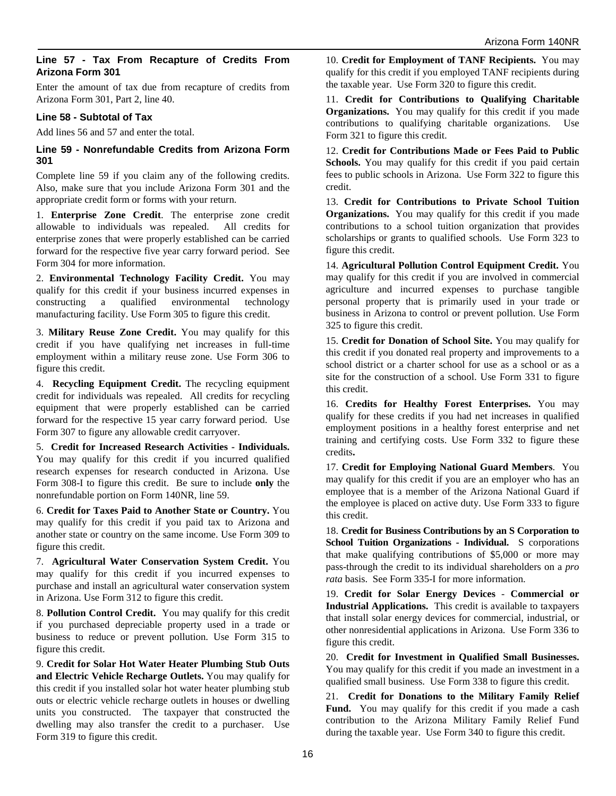### **Line 57 - Tax From Recapture of Credits From Arizona Form 301**

Enter the amount of tax due from recapture of credits from Arizona Form 301, Part 2, line 40.

### **Line 58 - Subtotal of Tax**

Add lines 56 and 57 and enter the total.

### **Line 59 - Nonrefundable Credits from Arizona Form 301**

Complete line 59 if you claim any of the following credits. Also, make sure that you include Arizona Form 301 and the appropriate credit form or forms with your return.

1. **Enterprise Zone Credit**. The enterprise zone credit allowable to individuals was repealed. All credits for enterprise zones that were properly established can be carried forward for the respective five year carry forward period. See Form 304 for more information.

2. **Environmental Technology Facility Credit.** You may qualify for this credit if your business incurred expenses in constructing a qualified environmental technology manufacturing facility. Use Form 305 to figure this credit.

3. **Military Reuse Zone Credit.** You may qualify for this credit if you have qualifying net increases in full-time employment within a military reuse zone. Use Form 306 to figure this credit.

4. **Recycling Equipment Credit.** The recycling equipment credit for individuals was repealed. All credits for recycling equipment that were properly established can be carried forward for the respective 15 year carry forward period. Use Form 307 to figure any allowable credit carryover.

5. **Credit for Increased Research Activities - Individuals.** You may qualify for this credit if you incurred qualified research expenses for research conducted in Arizona. Use Form 308-I to figure this credit. Be sure to include **only** the nonrefundable portion on Form 140NR, line 59.

6. **Credit for Taxes Paid to Another State or Country.** You may qualify for this credit if you paid tax to Arizona and another state or country on the same income. Use Form 309 to figure this credit.

7. **Agricultural Water Conservation System Credit.** You may qualify for this credit if you incurred expenses to purchase and install an agricultural water conservation system in Arizona. Use Form 312 to figure this credit.

8. **Pollution Control Credit.** You may qualify for this credit if you purchased depreciable property used in a trade or business to reduce or prevent pollution. Use Form 315 to figure this credit.

9. **Credit for Solar Hot Water Heater Plumbing Stub Outs and Electric Vehicle Recharge Outlets.** You may qualify for this credit if you installed solar hot water heater plumbing stub outs or electric vehicle recharge outlets in houses or dwelling units you constructed. The taxpayer that constructed the dwelling may also transfer the credit to a purchaser. Use Form 319 to figure this credit.

10. **Credit for Employment of TANF Recipients.** You may qualify for this credit if you employed TANF recipients during the taxable year. Use Form 320 to figure this credit.

11. **Credit for Contributions to Qualifying Charitable Organizations.** You may qualify for this credit if you made contributions to qualifying charitable organizations. Use Form 321 to figure this credit.

12. **Credit for Contributions Made or Fees Paid to Public Schools.** You may qualify for this credit if you paid certain fees to public schools in Arizona. Use Form 322 to figure this credit.

13. **Credit for Contributions to Private School Tuition Organizations.** You may qualify for this credit if you made contributions to a school tuition organization that provides scholarships or grants to qualified schools. Use Form 323 to figure this credit.

14. **Agricultural Pollution Control Equipment Credit.** You may qualify for this credit if you are involved in commercial agriculture and incurred expenses to purchase tangible personal property that is primarily used in your trade or business in Arizona to control or prevent pollution. Use Form 325 to figure this credit.

15. **Credit for Donation of School Site.** You may qualify for this credit if you donated real property and improvements to a school district or a charter school for use as a school or as a site for the construction of a school. Use Form 331 to figure this credit.

16. **Credits for Healthy Forest Enterprises.** You may qualify for these credits if you had net increases in qualified employment positions in a healthy forest enterprise and net training and certifying costs. Use Form 332 to figure these credits**.**

17. **Credit for Employing National Guard Members**. You may qualify for this credit if you are an employer who has an employee that is a member of the Arizona National Guard if the employee is placed on active duty. Use Form 333 to figure this credit.

18. **Credit for Business Contributions by an S Corporation to School Tuition Organizations - Individual.** S corporations that make qualifying contributions of \$5,000 or more may pass-through the credit to its individual shareholders on a *pro rata* basis. See Form 335-I for more information.

19. **Credit for Solar Energy Devices** - **Commercial or Industrial Applications.** This credit is available to taxpayers that install solar energy devices for commercial, industrial, or other nonresidential applications in Arizona. Use Form 336 to figure this credit.

20. **Credit for Investment in Qualified Small Businesses.** You may qualify for this credit if you made an investment in a qualified small business. Use Form 338 to figure this credit.

21. **Credit for Donations to the Military Family Relief**  Fund. You may qualify for this credit if you made a cash contribution to the Arizona Military Family Relief Fund during the taxable year. Use Form 340 to figure this credit.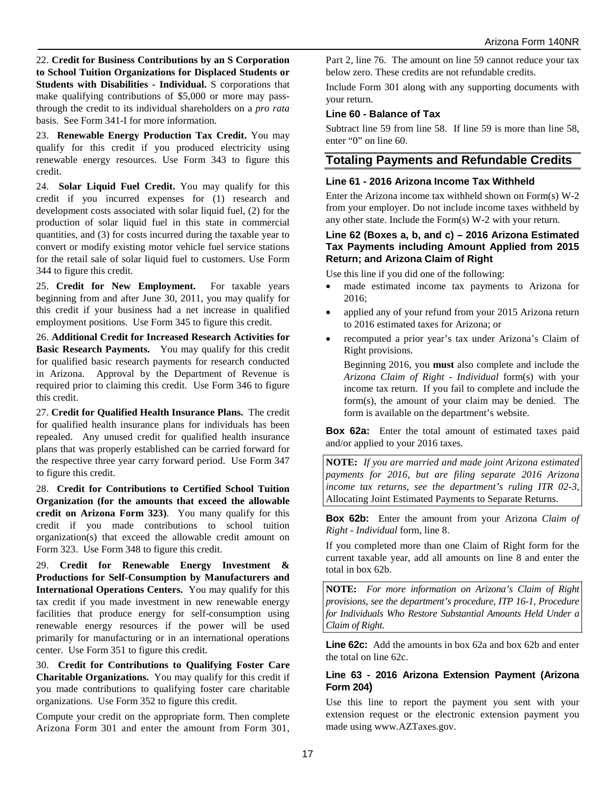22. **Credit for Business Contributions by an S Corporation to School Tuition Organizations for Displaced Students or Students with Disabilities - Individual.** S corporations that make qualifying contributions of \$5,000 or more may passthrough the credit to its individual shareholders on a *pro rata* basis. See Form 341-I for more information.

23. **Renewable Energy Production Tax Credit.** You may qualify for this credit if you produced electricity using renewable energy resources. Use Form 343 to figure this credit.

24. **Solar Liquid Fuel Credit.** You may qualify for this credit if you incurred expenses for (1) research and development costs associated with solar liquid fuel, (2) for the production of solar liquid fuel in this state in commercial quantities, and (3) for costs incurred during the taxable year to convert or modify existing motor vehicle fuel service stations for the retail sale of solar liquid fuel to customers. Use Form 344 to figure this credit.

25. **Credit for New Employment.** For taxable years beginning from and after June 30, 2011, you may qualify for this credit if your business had a net increase in qualified employment positions. Use Form 345 to figure this credit.

26. **Additional Credit for Increased Research Activities for Basic Research Payments.** You may qualify for this credit for qualified basic research payments for research conducted in Arizona. Approval by the Department of Revenue is required prior to claiming this credit. Use Form 346 to figure this credit.

27. **Credit for Qualified Health Insurance Plans.** The credit for qualified health insurance plans for individuals has been repealed. Any unused credit for qualified health insurance plans that was properly established can be carried forward for the respective three year carry forward period. Use Form 347 to figure this credit.

28. **Credit for Contributions to Certified School Tuition Organization (for the amounts that exceed the allowable credit on Arizona Form 323)**. You many qualify for this credit if you made contributions to school tuition organization(s) that exceed the allowable credit amount on Form 323. Use Form 348 to figure this credit.

29. **Credit for Renewable Energy Investment & Productions for Self-Consumption by Manufacturers and International Operations Centers.** You may qualify for this tax credit if you made investment in new renewable energy facilities that produce energy for self-consumption using renewable energy resources if the power will be used primarily for manufacturing or in an international operations center. Use Form 351 to figure this credit.

30. **Credit for Contributions to Qualifying Foster Care Charitable Organizations.** You may qualify for this credit if you made contributions to qualifying foster care charitable organizations. Use Form 352 to figure this credit.

Compute your credit on the appropriate form. Then complete Arizona Form 301 and enter the amount from Form 301, Part 2, line 76. The amount on line 59 cannot reduce your tax below zero. These credits are not refundable credits.

Include Form 301 along with any supporting documents with your return.

### **Line 60 - Balance of Tax**

Subtract line 59 from line 58. If line 59 is more than line 58, enter "0" on line 60.

## **Totaling Payments and Refundable Credits**

### **Line 61 - 2016 Arizona Income Tax Withheld**

Enter the Arizona income tax withheld shown on Form(s) W-2 from your employer. Do not include income taxes withheld by any other state. Include the Form(s) W-2 with your return.

#### **Line 62 (Boxes a, b, and c) – 2016 Arizona Estimated Tax Payments including Amount Applied from 2015 Return; and Arizona Claim of Right**

Use this line if you did one of the following:

- made estimated income tax payments to Arizona for 2016;
- applied any of your refund from your 2015 Arizona return to 2016 estimated taxes for Arizona; or
- recomputed a prior year's tax under Arizona's Claim of Right provisions.

Beginning 2016, you **must** also complete and include the *Arizona Claim of Right - Individual* form(s) with your income tax return. If you fail to complete and include the form(s), the amount of your claim may be denied. The form is available on the department's website.

**Box 62a:** Enter the total amount of estimated taxes paid and/or applied to your 2016 taxes.

**NOTE:** *If you are married and made joint Arizona estimated payments for 2016, but are filing separate 2016 Arizona income tax returns, see the department's ruling ITR 02-3,* Allocating Joint Estimated Payments to Separate Returns.

**Box 62b:** Enter the amount from your Arizona *Claim of Right - Individual* form, line 8.

If you completed more than one Claim of Right form for the current taxable year, add all amounts on line 8 and enter the total in box 62b.

**NOTE:** *For more information on Arizona's Claim of Right provisions, see the department's procedure, ITP 16-1, Procedure for Individuals Who Restore Substantial Amounts Held Under a Claim of Right.*

**Line 62c:** Add the amounts in box 62a and box 62b and enter the total on line 62c.

### **Line 63 - 2016 Arizona Extension Payment (Arizona Form 204)**

Use this line to report the payment you sent with your extension request or the electronic extension payment you made using www.AZTaxes.gov.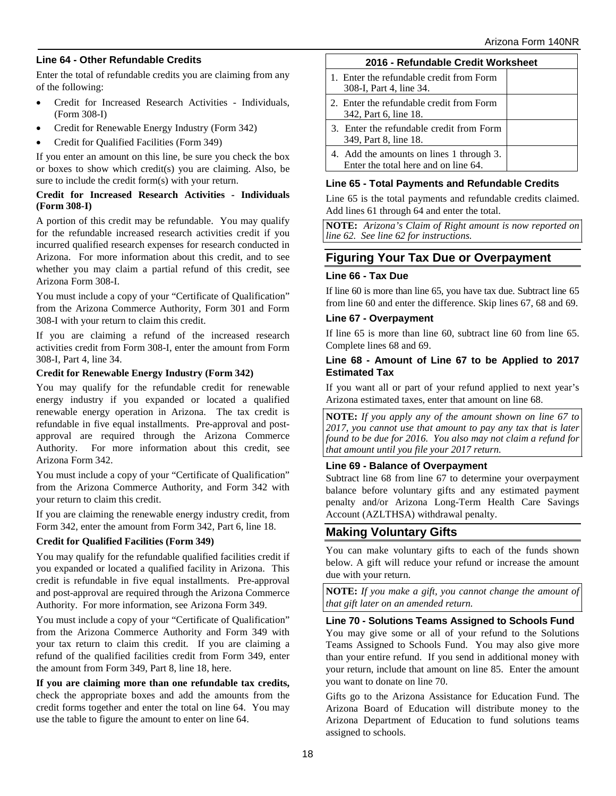### **Line 64 - Other Refundable Credits**

Enter the total of refundable credits you are claiming from any of the following:

- Credit for Increased Research Activities Individuals, (Form 308-I)
- Credit for Renewable Energy Industry (Form 342)
- Credit for Qualified Facilities (Form 349)

If you enter an amount on this line, be sure you check the box or boxes to show which credit(s) you are claiming. Also, be sure to include the credit form(s) with your return.

#### **Credit for Increased Research Activities - Individuals (Form 308-I)**

A portion of this credit may be refundable. You may qualify for the refundable increased research activities credit if you incurred qualified research expenses for research conducted in Arizona. For more information about this credit, and to see whether you may claim a partial refund of this credit, see Arizona Form 308-I.

You must include a copy of your "Certificate of Qualification" from the Arizona Commerce Authority, Form 301 and Form 308-I with your return to claim this credit.

If you are claiming a refund of the increased research activities credit from Form 308-I, enter the amount from Form 308-I, Part 4, line 34.

#### **Credit for Renewable Energy Industry (Form 342)**

You may qualify for the refundable credit for renewable energy industry if you expanded or located a qualified renewable energy operation in Arizona. The tax credit is refundable in five equal installments. Pre-approval and postapproval are required through the Arizona Commerce Authority. For more information about this credit, see Arizona Form 342.

You must include a copy of your "Certificate of Qualification" from the Arizona Commerce Authority, and Form 342 with your return to claim this credit.

If you are claiming the renewable energy industry credit, from Form 342, enter the amount from Form 342, Part 6, line 18.

#### **Credit for Qualified Facilities (Form 349)**

You may qualify for the refundable qualified facilities credit if you expanded or located a qualified facility in Arizona. This credit is refundable in five equal installments. Pre-approval and post-approval are required through the Arizona Commerce Authority. For more information, see Arizona Form 349.

You must include a copy of your "Certificate of Qualification" from the Arizona Commerce Authority and Form 349 with your tax return to claim this credit. If you are claiming a refund of the qualified facilities credit from Form 349, enter the amount from Form 349, Part 8, line 18, here.

**If you are claiming more than one refundable tax credits,**  check the appropriate boxes and add the amounts from the credit forms together and enter the total on line 64. You may use the table to figure the amount to enter on line 64.

| 2016 - Refundable Credit Worksheet                                               |  |  |  |
|----------------------------------------------------------------------------------|--|--|--|
| 1. Enter the refundable credit from Form<br>308-I, Part 4, line 34.              |  |  |  |
| 2. Enter the refundable credit from Form<br>342, Part 6, line 18.                |  |  |  |
| 3. Enter the refundable credit from Form<br>349, Part 8, line 18.                |  |  |  |
| 4. Add the amounts on lines 1 through 3.<br>Enter the total here and on line 64. |  |  |  |

#### **Line 65 - Total Payments and Refundable Credits**

Line 65 is the total payments and refundable credits claimed. Add lines 61 through 64 and enter the total.

**NOTE:** *Arizona's Claim of Right amount is now reported on line 62. See line 62 for instructions.* 

## **Figuring Your Tax Due or Overpayment**

### **Line 66 - Tax Due**

If line 60 is more than line 65, you have tax due. Subtract line 65 from line 60 and enter the difference. Skip lines 67, 68 and 69.

### **Line 67 - Overpayment**

If line 65 is more than line 60, subtract line 60 from line 65. Complete lines 68 and 69.

#### **Line 68 - Amount of Line 67 to be Applied to 2017 Estimated Tax**

If you want all or part of your refund applied to next year's Arizona estimated taxes, enter that amount on line 68.

**NOTE:** *If you apply any of the amount shown on line 67 to 2017, you cannot use that amount to pay any tax that is later found to be due for 2016. You also may not claim a refund for that amount until you file your 2017 return.*

#### **Line 69 - Balance of Overpayment**

Subtract line 68 from line 67 to determine your overpayment balance before voluntary gifts and any estimated payment penalty and/or Arizona Long-Term Health Care Savings Account (AZLTHSA) withdrawal penalty.

### **Making Voluntary Gifts**

You can make voluntary gifts to each of the funds shown below. A gift will reduce your refund or increase the amount due with your return.

**NOTE:** *If you make a gift, you cannot change the amount of that gift later on an amended return.*

#### **Line 70 - Solutions Teams Assigned to Schools Fund**

You may give some or all of your refund to the Solutions Teams Assigned to Schools Fund. You may also give more than your entire refund. If you send in additional money with your return, include that amount on line 85. Enter the amount you want to donate on line 70.

Gifts go to the Arizona Assistance for Education Fund. The Arizona Board of Education will distribute money to the Arizona Department of Education to fund solutions teams assigned to schools.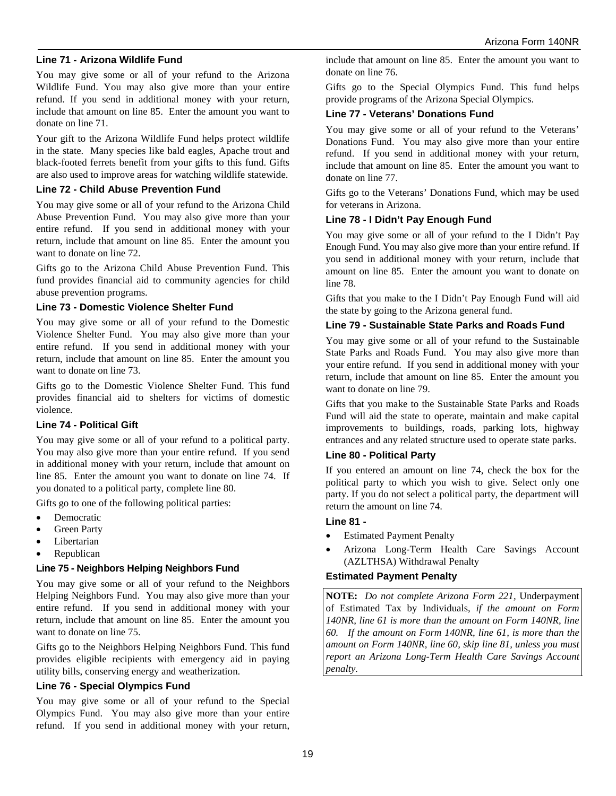### **Line 71 - Arizona Wildlife Fund**

You may give some or all of your refund to the Arizona Wildlife Fund. You may also give more than your entire refund. If you send in additional money with your return, include that amount on line 85. Enter the amount you want to donate on line 71.

Your gift to the Arizona Wildlife Fund helps protect wildlife in the state. Many species like bald eagles, Apache trout and black-footed ferrets benefit from your gifts to this fund. Gifts are also used to improve areas for watching wildlife statewide.

### **Line 72 - Child Abuse Prevention Fund**

You may give some or all of your refund to the Arizona Child Abuse Prevention Fund. You may also give more than your entire refund. If you send in additional money with your return, include that amount on line 85. Enter the amount you want to donate on line 72.

Gifts go to the Arizona Child Abuse Prevention Fund. This fund provides financial aid to community agencies for child abuse prevention programs.

#### **Line 73 - Domestic Violence Shelter Fund**

You may give some or all of your refund to the Domestic Violence Shelter Fund. You may also give more than your entire refund. If you send in additional money with your return, include that amount on line 85. Enter the amount you want to donate on line 73.

Gifts go to the Domestic Violence Shelter Fund. This fund provides financial aid to shelters for victims of domestic violence.

#### **Line 74 - Political Gift**

You may give some or all of your refund to a political party. You may also give more than your entire refund. If you send in additional money with your return, include that amount on line 85. Enter the amount you want to donate on line 74. If you donated to a political party, complete line 80.

Gifts go to one of the following political parties:

- Democratic
- **Green Party**
- **Libertarian**
- **Republican**

#### **Line 75 - Neighbors Helping Neighbors Fund**

You may give some or all of your refund to the Neighbors Helping Neighbors Fund. You may also give more than your entire refund. If you send in additional money with your return, include that amount on line 85. Enter the amount you want to donate on line 75.

Gifts go to the Neighbors Helping Neighbors Fund. This fund provides eligible recipients with emergency aid in paying utility bills, conserving energy and weatherization.

### **Line 76 - Special Olympics Fund**

You may give some or all of your refund to the Special Olympics Fund. You may also give more than your entire refund. If you send in additional money with your return, include that amount on line 85. Enter the amount you want to donate on line 76.

Gifts go to the Special Olympics Fund. This fund helps provide programs of the Arizona Special Olympics.

#### **Line 77 - Veterans' Donations Fund**

You may give some or all of your refund to the Veterans' Donations Fund. You may also give more than your entire refund. If you send in additional money with your return, include that amount on line 85. Enter the amount you want to donate on line 77.

Gifts go to the Veterans' Donations Fund, which may be used for veterans in Arizona.

#### **Line 78 - I Didn't Pay Enough Fund**

You may give some or all of your refund to the I Didn't Pay Enough Fund. You may also give more than your entire refund. If you send in additional money with your return, include that amount on line 85. Enter the amount you want to donate on line 78.

Gifts that you make to the I Didn't Pay Enough Fund will aid the state by going to the Arizona general fund.

#### **Line 79 - Sustainable State Parks and Roads Fund**

You may give some or all of your refund to the Sustainable State Parks and Roads Fund. You may also give more than your entire refund. If you send in additional money with your return, include that amount on line 85. Enter the amount you want to donate on line 79.

Gifts that you make to the Sustainable State Parks and Roads Fund will aid the state to operate, maintain and make capital improvements to buildings, roads, parking lots, highway entrances and any related structure used to operate state parks.

#### **Line 80 - Political Party**

If you entered an amount on line 74, check the box for the political party to which you wish to give. Select only one party. If you do not select a political party, the department will return the amount on line 74.

#### **Line 81 -**

- **Estimated Payment Penalty**
- Arizona Long-Term Health Care Savings Account (AZLTHSA) Withdrawal Penalty

#### **Estimated Payment Penalty**

**NOTE:** *Do not complete Arizona Form 221,* Underpayment of Estimated Tax by Individuals*, if the amount on Form 140NR, line 61 is more than the amount on Form 140NR, line 60. If the amount on Form 140NR, line 61, is more than the amount on Form 140NR, line 60, skip line 81, unless you must report an Arizona Long-Term Health Care Savings Account penalty.*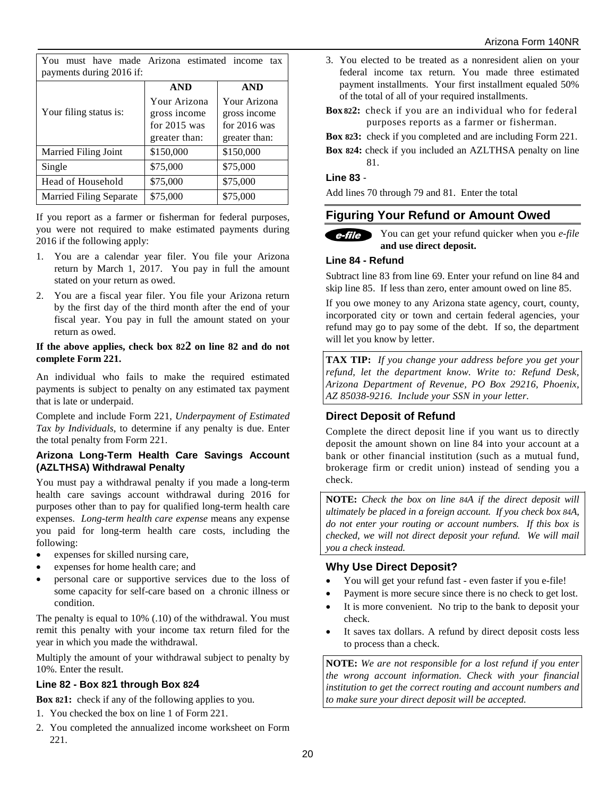You must have made Arizona estimated income tax payments during 2016 if: Your filing status is: **AND** Your Arizona gross income for 2015 was greater than: **AND** Your Arizona gross income for 2016 was greater than:

Married Filing Joint | \$150,000 | \$150,000 Single \$75,000 \$75,000 Head of Household \$75,000 \$75,000 Married Filing Separate \ \ \ \ \ \$75,000 \ \ \ \ \$75,000

If you report as a farmer or fisherman for federal purposes, you were not required to make estimated payments during 2016 if the following apply:

- 1. You are a calendar year filer. You file your Arizona return by March 1, 2017. You pay in full the amount stated on your return as owed.
- 2. You are a fiscal year filer. You file your Arizona return by the first day of the third month after the end of your fiscal year. You pay in full the amount stated on your return as owed.

### **If the above applies, check box 822 on line 82 and do not complete Form 221.**

An individual who fails to make the required estimated payments is subject to penalty on any estimated tax payment that is late or underpaid.

Complete and include Form 221, *Underpayment of Estimated Tax by Individuals*, to determine if any penalty is due. Enter the total penalty from Form 221.

### **Arizona Long-Term Health Care Savings Account (AZLTHSA) Withdrawal Penalty**

You must pay a withdrawal penalty if you made a long-term health care savings account withdrawal during 2016 for purposes other than to pay for qualified long-term health care expenses. *Long-term health care expense* means any expense you paid for long-term health care costs, including the following:

- expenses for skilled nursing care,
- expenses for home health care; and
- personal care or supportive services due to the loss of some capacity for self-care based on a chronic illness or condition.

The penalty is equal to 10% (.10) of the withdrawal. You must remit this penalty with your income tax return filed for the year in which you made the withdrawal.

Multiply the amount of your withdrawal subject to penalty by 10%. Enter the result.

### **Line 82 - Box 821 through Box 824**

**Box 821:** check if any of the following applies to you.

- 1. You checked the box on line 1 of Form 221.
- 2. You completed the annualized income worksheet on Form 221.
- 3. You elected to be treated as a nonresident alien on your federal income tax return. You made three estimated payment installments. Your first installment equaled 50% of the total of all of your required installments.
- **Box 822:** check if you are an individual who for federal purposes reports as a farmer or fisherman.

**Box 823:** check if you completed and are including Form 221.

**Box 824:** check if you included an AZLTHSA penalty on line 81.

### **Line 83** -

Add lines 70 through 79 and 81. Enter the total

## **Figuring Your Refund or Amount Owed**

 $e$ -file

You can get your refund quicker when you *e-file* **and use direct deposit.**

#### **Line 84 - Refund**

Subtract line 83 from line 69. Enter your refund on line 84 and skip line 85. If less than zero, enter amount owed on line 85.

If you owe money to any Arizona state agency, court, county, incorporated city or town and certain federal agencies, your refund may go to pay some of the debt. If so, the department will let you know by letter.

**TAX TIP:** *If you change your address before you get your refund, let the department know. Write to: Refund Desk, Arizona Department of Revenue, PO Box 29216, Phoenix, AZ 85038-9216. Include your SSN in your letter.*

### **Direct Deposit of Refund**

Complete the direct deposit line if you want us to directly deposit the amount shown on line 84 into your account at a bank or other financial institution (such as a mutual fund, brokerage firm or credit union) instead of sending you a check.

**NOTE:** *Check the box on line 84A if the direct deposit will ultimately be placed in a foreign account. If you check box 84A, do not enter your routing or account numbers. If this box is checked, we will not direct deposit your refund. We will mail you a check instead.* 

## **Why Use Direct Deposit?**

- You will get your refund fast even faster if you e-file!
- Payment is more secure since there is no check to get lost.
- It is more convenient. No trip to the bank to deposit your check.
- It saves tax dollars. A refund by direct deposit costs less to process than a check.

**NOTE:** *We are not responsible for a lost refund if you enter the wrong account information. Check with your financial institution to get the correct routing and account numbers and to make sure your direct deposit will be accepted.*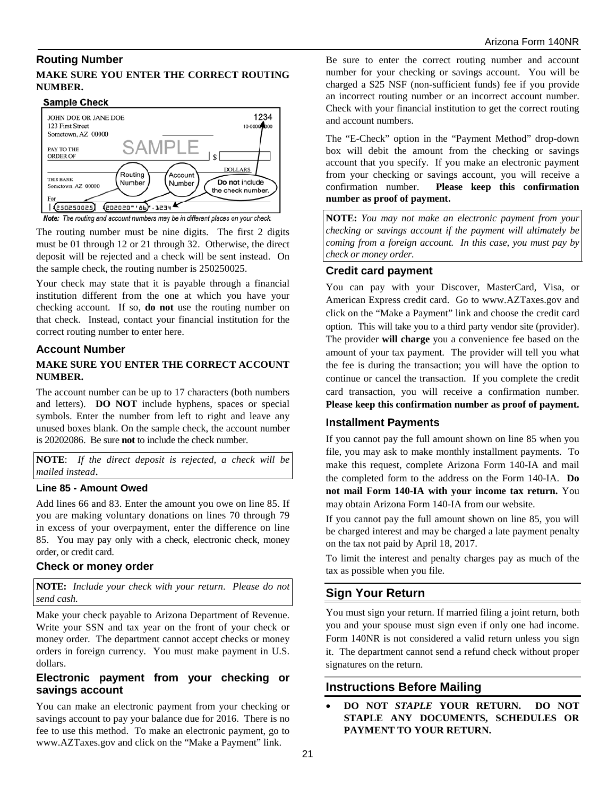## **Routing Number**

#### **MAKE SURE YOU ENTER THE CORRECT ROUTING NUMBER.**

#### **Sample Check**



Note: The routing and account numbers may be in different places on your check.

The routing number must be nine digits. The first 2 digits must be 01 through 12 or 21 through 32. Otherwise, the direct deposit will be rejected and a check will be sent instead. On the sample check, the routing number is 250250025.

Your check may state that it is payable through a financial institution different from the one at which you have your checking account. If so, **do not** use the routing number on that check. Instead, contact your financial institution for the correct routing number to enter here.

### **Account Number**

### **MAKE SURE YOU ENTER THE CORRECT ACCOUNT NUMBER.**

The account number can be up to 17 characters (both numbers and letters). **DO NOT** include hyphens, spaces or special symbols. Enter the number from left to right and leave any unused boxes blank. On the sample check, the account number is 20202086. Be sure **not** to include the check number.

**NOTE**: *If the direct deposit is rejected, a check will be mailed instead*.

#### **Line 85 - Amount Owed**

Add lines 66 and 83. Enter the amount you owe on line 85. If you are making voluntary donations on lines 70 through 79 in excess of your overpayment, enter the difference on line 85.You may pay only with a check, electronic check, money order, or credit card.

### **Check or money order**

**NOTE:** *Include your check with your return*. *Please do not send cash.*

Make your check payable to Arizona Department of Revenue. Write your SSN and tax year on the front of your check or money order. The department cannot accept checks or money orders in foreign currency. You must make payment in U.S. dollars.

### **Electronic payment from your checking or savings account**

You can make an electronic payment from your checking or savings account to pay your balance due for 2016. There is no fee to use this method. To make an electronic payment, go to www.AZTaxes.gov and click on the "Make a Payment" link.

Be sure to enter the correct routing number and account number for your checking or savings account. You will be charged a \$25 NSF (non-sufficient funds) fee if you provide an incorrect routing number or an incorrect account number. Check with your financial institution to get the correct routing and account numbers.

The "E-Check" option in the "Payment Method" drop-down box will debit the amount from the checking or savings account that you specify. If you make an electronic payment from your checking or savings account, you will receive a confirmation number. **Please keep this confirmation number as proof of payment.**

**NOTE:** *You may not make an electronic payment from your checking or savings account if the payment will ultimately be coming from a foreign account. In this case, you must pay by check or money order.* 

## **Credit card payment**

You can pay with your Discover, MasterCard, Visa, or American Express credit card. Go to www.AZTaxes.gov and click on the "Make a Payment" link and choose the credit card option. This will take you to a third party vendor site (provider). The provider **will charge** you a convenience fee based on the amount of your tax payment. The provider will tell you what the fee is during the transaction; you will have the option to continue or cancel the transaction. If you complete the credit card transaction, you will receive a confirmation number. **Please keep this confirmation number as proof of payment.**

## **Installment Payments**

If you cannot pay the full amount shown on line 85 when you file, you may ask to make monthly installment payments. To make this request, complete Arizona Form 140-IA and mail the completed form to the address on the Form 140-IA. **Do not mail Form 140**-**IA with your income tax return.** You may obtain Arizona Form 140-IA from our website.

If you cannot pay the full amount shown on line 85, you will be charged interest and may be charged a late payment penalty on the tax not paid by April 18, 2017.

To limit the interest and penalty charges pay as much of the tax as possible when you file.

## **Sign Your Return**

You must sign your return. If married filing a joint return, both you and your spouse must sign even if only one had income. Form 140NR is not considered a valid return unless you sign it. The department cannot send a refund check without proper signatures on the return.

## **Instructions Before Mailing**

• **DO NOT** *STAPLE* **YOUR RETURN. DO NOT STAPLE ANY DOCUMENTS, SCHEDULES OR PAYMENT TO YOUR RETURN.**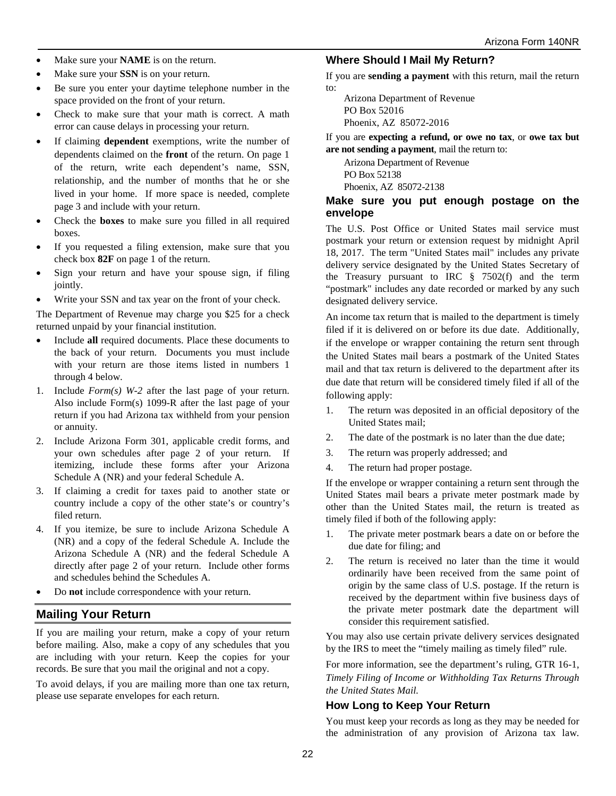- Make sure your **NAME** is on the return.
- Make sure your **SSN** is on your return.
- Be sure you enter your daytime telephone number in the space provided on the front of your return.
- Check to make sure that your math is correct. A math error can cause delays in processing your return.
- If claiming **dependent** exemptions, write the number of dependents claimed on the **front** of the return. On page 1 of the return, write each dependent's name, SSN, relationship, and the number of months that he or she lived in your home. If more space is needed, complete page 3 and include with your return.
- Check the **boxes** to make sure you filled in all required boxes.
- If you requested a filing extension, make sure that you check box **82F** on page 1 of the return.
- Sign your return and have your spouse sign, if filing jointly.
- Write your SSN and tax year on the front of your check.

The Department of Revenue may charge you \$25 for a check returned unpaid by your financial institution.

- Include **all** required documents. Place these documents to the back of your return. Documents you must include with your return are those items listed in numbers 1 through 4 below.
- 1. Include *Form(s) W-2* after the last page of your return. Also include Form(s) 1099-R after the last page of your return if you had Arizona tax withheld from your pension or annuity.
- 2. Include Arizona Form 301, applicable credit forms, and your own schedules after page 2 of your return. If itemizing, include these forms after your Arizona Schedule A (NR) and your federal Schedule A.
- 3. If claiming a credit for taxes paid to another state or country include a copy of the other state's or country's filed return.
- 4. If you itemize, be sure to include Arizona Schedule A (NR) and a copy of the federal Schedule A. Include the Arizona Schedule A (NR) and the federal Schedule A directly after page 2 of your return. Include other forms and schedules behind the Schedules A.
- Do **not** include correspondence with your return.

## **Mailing Your Return**

If you are mailing your return, make a copy of your return before mailing. Also, make a copy of any schedules that you are including with your return. Keep the copies for your records. Be sure that you mail the original and not a copy.

To avoid delays, if you are mailing more than one tax return, please use separate envelopes for each return.

### **Where Should I Mail My Return?**

If you are **sending a payment** with this return, mail the return to:

Arizona Department of Revenue PO Box 52016 Phoenix, AZ 85072-2016

If you are **expecting a refund, or owe no tax**, or **owe tax but are not sending a payment**, mail the return to:

Arizona Department of Revenue PO Box 52138 Phoenix, AZ 85072-2138

### **Make sure you put enough postage on the envelope**

The U.S. Post Office or United States mail service must postmark your return or extension request by midnight April 18, 2017. The term "United States mail" includes any private delivery service designated by the United States Secretary of the Treasury pursuant to IRC  $\S$  7502(f) and the term "postmark" includes any date recorded or marked by any such designated delivery service.

An income tax return that is mailed to the department is timely filed if it is delivered on or before its due date. Additionally, if the envelope or wrapper containing the return sent through the United States mail bears a postmark of the United States mail and that tax return is delivered to the department after its due date that return will be considered timely filed if all of the following apply:

- 1. The return was deposited in an official depository of the United States mail;
- 2. The date of the postmark is no later than the due date;
- 3. The return was properly addressed; and
- 4. The return had proper postage.

If the envelope or wrapper containing a return sent through the United States mail bears a private meter postmark made by other than the United States mail, the return is treated as timely filed if both of the following apply:

- 1. The private meter postmark bears a date on or before the due date for filing; and
- 2. The return is received no later than the time it would ordinarily have been received from the same point of origin by the same class of U.S. postage. If the return is received by the department within five business days of the private meter postmark date the department will consider this requirement satisfied.

You may also use certain private delivery services designated by the IRS to meet the "timely mailing as timely filed" rule.

For more information, see the department's ruling, GTR 16-1, *Timely Filing of Income or Withholding Tax Returns Through the United States Mail.*

## **How Long to Keep Your Return**

You must keep your records as long as they may be needed for the administration of any provision of Arizona tax law.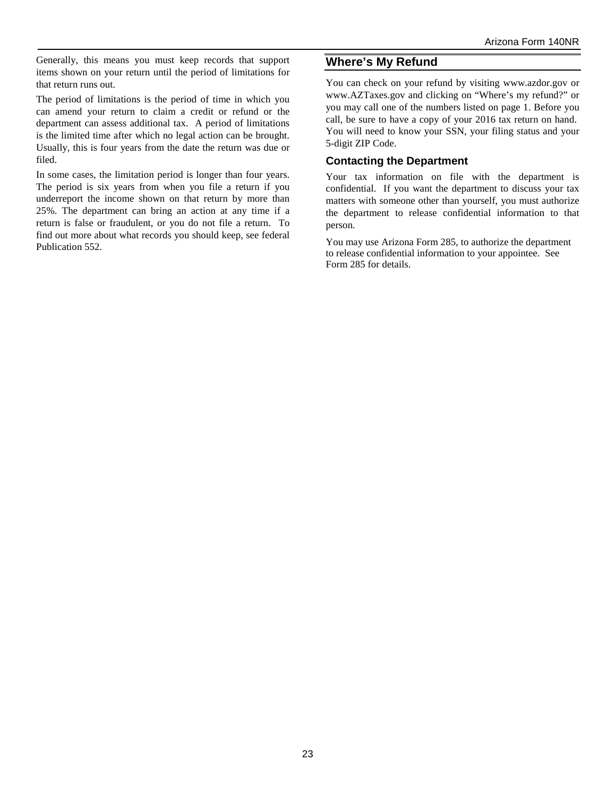Generally, this means you must keep records that support items shown on your return until the period of limitations for that return runs out.

The period of limitations is the period of time in which you can amend your return to claim a credit or refund or the department can assess additional tax. A period of limitations is the limited time after which no legal action can be brought. Usually, this is four years from the date the return was due or filed.

In some cases, the limitation period is longer than four years. The period is six years from when you file a return if you underreport the income shown on that return by more than 25%. The department can bring an action at any time if a return is false or fraudulent, or you do not file a return. To find out more about what records you should keep, see federal Publication 552.

## **Where's My Refund**

You can check on your refund by visiting www.azdor.gov or www.AZTaxes.gov and clicking on "Where's my refund?" or you may call one of the numbers listed on page 1. Before you call, be sure to have a copy of your 2016 tax return on hand. You will need to know your SSN, your filing status and your 5-digit ZIP Code.

## **Contacting the Department**

Your tax information on file with the department is confidential. If you want the department to discuss your tax matters with someone other than yourself, you must authorize the department to release confidential information to that person.

You may use Arizona Form 285, to authorize the department to release confidential information to your appointee. See Form 285 for details.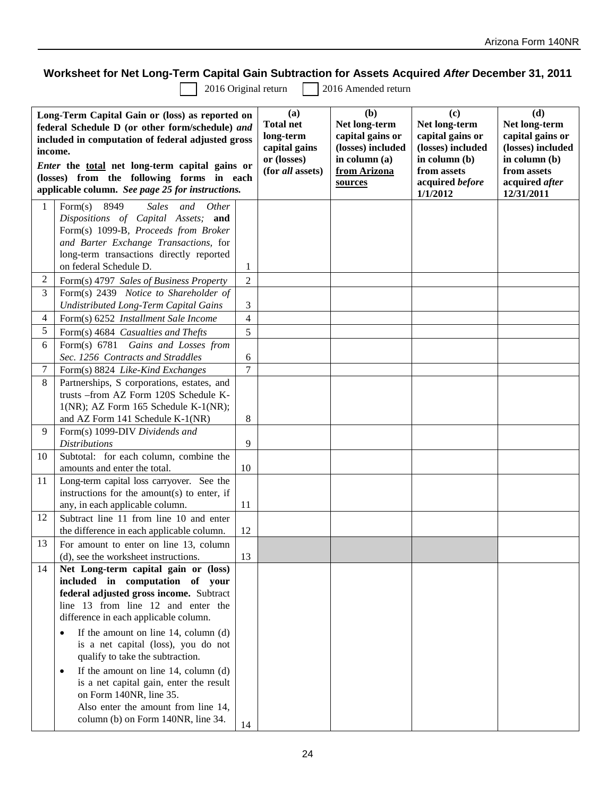## **Worksheet for Net Long-Term Capital Gain Subtraction for Assets Acquired** *After* **December 31, 2011**

2016 Original return 2016 Amended return

| Long-Term Capital Gain or (loss) as reported on<br>federal Schedule D (or other form/schedule) and<br>included in computation of federal adjusted gross<br>income.<br>Enter the total net long-term capital gains or<br>(losses) from the following forms in each<br>applicable column. See page 25 for instructions. |                                                                                                                                                                                                         | (a)<br><b>Total net</b><br>long-term<br>capital gains<br>or (losses)<br>(for all assets) | (b)<br>Net long-term<br>capital gains or<br>(losses) included<br>in column (a)<br>from Arizona<br>sources | (c)<br>Net long-term<br>capital gains or<br>(losses) included<br>in column (b)<br>from assets<br>acquired before<br>1/1/2012 | (d)<br>Net long-term<br>capital gains or<br>(losses) included<br>in column (b)<br>from assets<br>acquired after<br>12/31/2011 |  |
|-----------------------------------------------------------------------------------------------------------------------------------------------------------------------------------------------------------------------------------------------------------------------------------------------------------------------|---------------------------------------------------------------------------------------------------------------------------------------------------------------------------------------------------------|------------------------------------------------------------------------------------------|-----------------------------------------------------------------------------------------------------------|------------------------------------------------------------------------------------------------------------------------------|-------------------------------------------------------------------------------------------------------------------------------|--|
| 1                                                                                                                                                                                                                                                                                                                     | 8949<br><b>Sales</b><br>Form(s)<br>and Other                                                                                                                                                            |                                                                                          |                                                                                                           |                                                                                                                              |                                                                                                                               |  |
|                                                                                                                                                                                                                                                                                                                       | Dispositions of Capital Assets; and<br>Form(s) 1099-B, Proceeds from Broker                                                                                                                             |                                                                                          |                                                                                                           |                                                                                                                              |                                                                                                                               |  |
|                                                                                                                                                                                                                                                                                                                       | and Barter Exchange Transactions, for                                                                                                                                                                   |                                                                                          |                                                                                                           |                                                                                                                              |                                                                                                                               |  |
|                                                                                                                                                                                                                                                                                                                       | long-term transactions directly reported                                                                                                                                                                |                                                                                          |                                                                                                           |                                                                                                                              |                                                                                                                               |  |
|                                                                                                                                                                                                                                                                                                                       | on federal Schedule D.                                                                                                                                                                                  | 1                                                                                        |                                                                                                           |                                                                                                                              |                                                                                                                               |  |
| 2                                                                                                                                                                                                                                                                                                                     | Form(s) 4797 Sales of Business Property                                                                                                                                                                 | $\overline{2}$                                                                           |                                                                                                           |                                                                                                                              |                                                                                                                               |  |
| 3                                                                                                                                                                                                                                                                                                                     | Form(s) 2439 Notice to Shareholder of                                                                                                                                                                   |                                                                                          |                                                                                                           |                                                                                                                              |                                                                                                                               |  |
|                                                                                                                                                                                                                                                                                                                       | <b>Undistributed Long-Term Capital Gains</b>                                                                                                                                                            | 3                                                                                        |                                                                                                           |                                                                                                                              |                                                                                                                               |  |
| 4                                                                                                                                                                                                                                                                                                                     | Form(s) 6252 Installment Sale Income                                                                                                                                                                    | $\overline{4}$                                                                           |                                                                                                           |                                                                                                                              |                                                                                                                               |  |
| 5                                                                                                                                                                                                                                                                                                                     | Form(s) 4684 Casualties and Thefts                                                                                                                                                                      | 5                                                                                        |                                                                                                           |                                                                                                                              |                                                                                                                               |  |
| 6                                                                                                                                                                                                                                                                                                                     | Form(s) 6781 Gains and Losses from                                                                                                                                                                      |                                                                                          |                                                                                                           |                                                                                                                              |                                                                                                                               |  |
|                                                                                                                                                                                                                                                                                                                       | Sec. 1256 Contracts and Straddles                                                                                                                                                                       | 6                                                                                        |                                                                                                           |                                                                                                                              |                                                                                                                               |  |
| 7                                                                                                                                                                                                                                                                                                                     | Form(s) 8824 Like-Kind Exchanges                                                                                                                                                                        | $\overline{7}$                                                                           |                                                                                                           |                                                                                                                              |                                                                                                                               |  |
| 8                                                                                                                                                                                                                                                                                                                     | Partnerships, S corporations, estates, and<br>trusts -- from AZ Form 120S Schedule K-                                                                                                                   |                                                                                          |                                                                                                           |                                                                                                                              |                                                                                                                               |  |
|                                                                                                                                                                                                                                                                                                                       | $1(NR)$ ; AZ Form 165 Schedule K- $1(NR)$ ;                                                                                                                                                             |                                                                                          |                                                                                                           |                                                                                                                              |                                                                                                                               |  |
|                                                                                                                                                                                                                                                                                                                       | and AZ Form 141 Schedule K-1(NR)                                                                                                                                                                        | 8                                                                                        |                                                                                                           |                                                                                                                              |                                                                                                                               |  |
| 9                                                                                                                                                                                                                                                                                                                     | Form(s) 1099-DIV Dividends and                                                                                                                                                                          |                                                                                          |                                                                                                           |                                                                                                                              |                                                                                                                               |  |
|                                                                                                                                                                                                                                                                                                                       | <b>Distributions</b>                                                                                                                                                                                    | 9                                                                                        |                                                                                                           |                                                                                                                              |                                                                                                                               |  |
| 10                                                                                                                                                                                                                                                                                                                    | Subtotal: for each column, combine the                                                                                                                                                                  |                                                                                          |                                                                                                           |                                                                                                                              |                                                                                                                               |  |
|                                                                                                                                                                                                                                                                                                                       | amounts and enter the total.                                                                                                                                                                            | 10                                                                                       |                                                                                                           |                                                                                                                              |                                                                                                                               |  |
| 11                                                                                                                                                                                                                                                                                                                    | Long-term capital loss carryover. See the                                                                                                                                                               |                                                                                          |                                                                                                           |                                                                                                                              |                                                                                                                               |  |
|                                                                                                                                                                                                                                                                                                                       | instructions for the amount(s) to enter, if<br>any, in each applicable column.                                                                                                                          | 11                                                                                       |                                                                                                           |                                                                                                                              |                                                                                                                               |  |
| 12                                                                                                                                                                                                                                                                                                                    | Subtract line 11 from line 10 and enter                                                                                                                                                                 |                                                                                          |                                                                                                           |                                                                                                                              |                                                                                                                               |  |
|                                                                                                                                                                                                                                                                                                                       | the difference in each applicable column.                                                                                                                                                               | 12                                                                                       |                                                                                                           |                                                                                                                              |                                                                                                                               |  |
| 13                                                                                                                                                                                                                                                                                                                    | For amount to enter on line 13, column                                                                                                                                                                  |                                                                                          |                                                                                                           |                                                                                                                              |                                                                                                                               |  |
|                                                                                                                                                                                                                                                                                                                       | (d), see the worksheet instructions.                                                                                                                                                                    | 13                                                                                       |                                                                                                           |                                                                                                                              |                                                                                                                               |  |
| 14                                                                                                                                                                                                                                                                                                                    | Net Long-term capital gain or (loss)                                                                                                                                                                    |                                                                                          |                                                                                                           |                                                                                                                              |                                                                                                                               |  |
|                                                                                                                                                                                                                                                                                                                       | included in computation of your<br>federal adjusted gross income. Subtract<br>line 13 from line 12 and enter the<br>difference in each applicable column.                                               |                                                                                          |                                                                                                           |                                                                                                                              |                                                                                                                               |  |
|                                                                                                                                                                                                                                                                                                                       | If the amount on line $14$ , column (d)<br>٠<br>is a net capital (loss), you do not<br>qualify to take the subtraction.                                                                                 |                                                                                          |                                                                                                           |                                                                                                                              |                                                                                                                               |  |
|                                                                                                                                                                                                                                                                                                                       | If the amount on line $14$ , column (d)<br>$\bullet$<br>is a net capital gain, enter the result<br>on Form 140NR, line 35.<br>Also enter the amount from line 14,<br>column (b) on Form 140NR, line 34. | 14                                                                                       |                                                                                                           |                                                                                                                              |                                                                                                                               |  |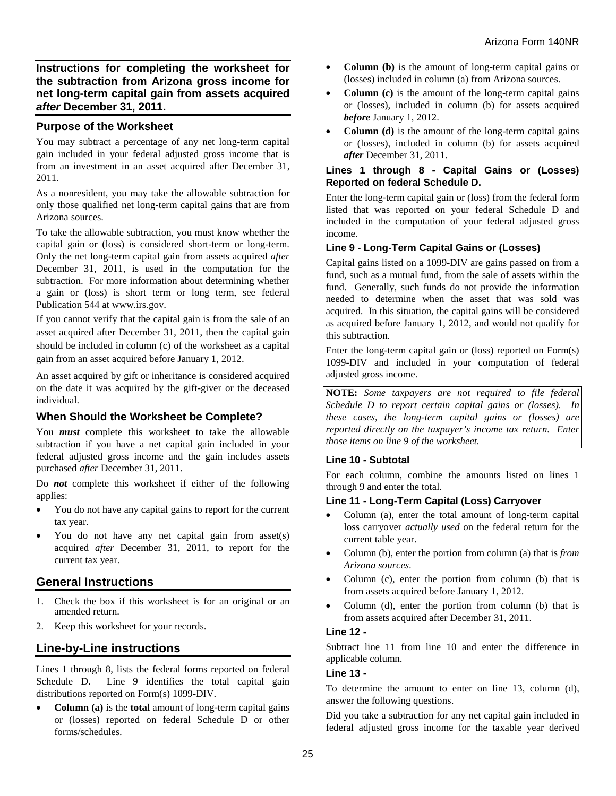**Instructions for completing the worksheet for the subtraction from Arizona gross income for net long-term capital gain from assets acquired**  *after* **December 31, 2011.**

## **Purpose of the Worksheet**

You may subtract a percentage of any net long-term capital gain included in your federal adjusted gross income that is from an investment in an asset acquired after December 31, 2011.

As a nonresident, you may take the allowable subtraction for only those qualified net long-term capital gains that are from Arizona sources.

To take the allowable subtraction, you must know whether the capital gain or (loss) is considered short-term or long-term. Only the net long-term capital gain from assets acquired *after* December 31, 2011, is used in the computation for the subtraction. For more information about determining whether a gain or (loss) is short term or long term, see federal Publication 544 at www.irs.gov.

If you cannot verify that the capital gain is from the sale of an asset acquired after December 31, 2011, then the capital gain should be included in column (c) of the worksheet as a capital gain from an asset acquired before January 1, 2012.

An asset acquired by gift or inheritance is considered acquired on the date it was acquired by the gift-giver or the deceased individual.

## **When Should the Worksheet be Complete?**

You *must* complete this worksheet to take the allowable subtraction if you have a net capital gain included in your federal adjusted gross income and the gain includes assets purchased *after* December 31, 2011.

Do *not* complete this worksheet if either of the following applies:

- You do not have any capital gains to report for the current tax year.
- You do not have any net capital gain from asset(s) acquired *after* December 31, 2011, to report for the current tax year.

## **General Instructions**

- 1. Check the box if this worksheet is for an original or an amended return.
- 2. Keep this worksheet for your records.

## **Line-by-Line instructions**

Lines 1 through 8, lists the federal forms reported on federal Schedule D. Line 9 identifies the total capital gain distributions reported on Form(s) 1099-DIV.

• **Column (a)** is the **total** amount of long-term capital gains or (losses) reported on federal Schedule D or other forms/schedules.

- **Column (b)** is the amount of long-term capital gains or (losses) included in column (a) from Arizona sources.
- **Column (c)** is the amount of the long-term capital gains or (losses), included in column (b) for assets acquired *before* January 1, 2012.
- **Column (d)** is the amount of the long-term capital gains or (losses), included in column (b) for assets acquired *after* December 31, 2011.

#### **Lines 1 through 8 - Capital Gains or (Losses) Reported on federal Schedule D.**

Enter the long-term capital gain or (loss) from the federal form listed that was reported on your federal Schedule D and included in the computation of your federal adjusted gross income.

## **Line 9 - Long-Term Capital Gains or (Losses)**

Capital gains listed on a 1099-DIV are gains passed on from a fund, such as a mutual fund, from the sale of assets within the fund. Generally, such funds do not provide the information needed to determine when the asset that was sold was acquired. In this situation, the capital gains will be considered as acquired before January 1, 2012, and would not qualify for this subtraction.

Enter the long-term capital gain or (loss) reported on Form(s) 1099-DIV and included in your computation of federal adjusted gross income.

**NOTE:** *Some taxpayers are not required to file federal Schedule D to report certain capital gains or (losses). In these cases, the long-term capital gains or (losses) are reported directly on the taxpayer's income tax return. Enter those items on line 9 of the worksheet.*

#### **Line 10 - Subtotal**

For each column, combine the amounts listed on lines 1 through 9 and enter the total.

### **Line 11 - Long-Term Capital (Loss) Carryover**

- Column (a), enter the total amount of long-term capital loss carryover *actually used* on the federal return for the current table year.
- Column (b), enter the portion from column (a) that is *from Arizona sources*.
- Column (c), enter the portion from column (b) that is from assets acquired before January 1, 2012.
- Column (d), enter the portion from column (b) that is from assets acquired after December 31, 2011.

#### **Line 12 -**

Subtract line 11 from line 10 and enter the difference in applicable column.

#### **Line 13 -**

To determine the amount to enter on line 13, column (d), answer the following questions.

Did you take a subtraction for any net capital gain included in federal adjusted gross income for the taxable year derived